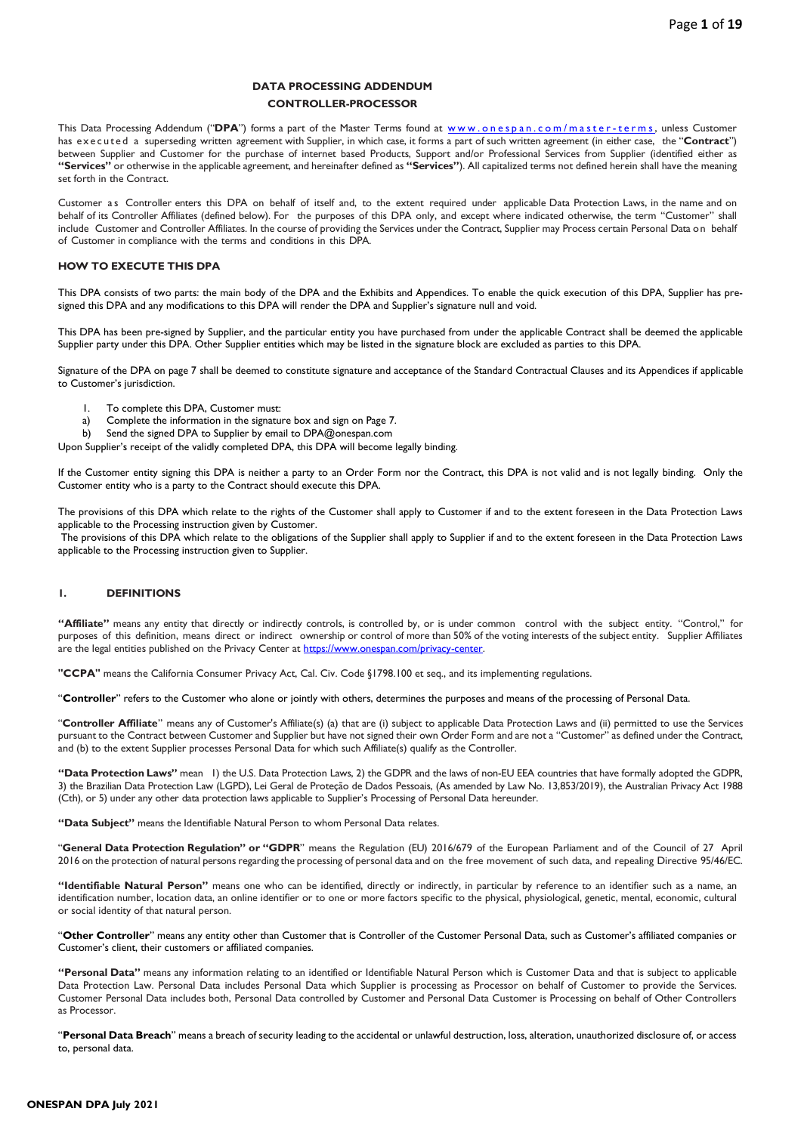# **DATA PROCESSING ADDENDUM CONTROLLER-PROCESSOR**

This Data Processing Addendum ("**DPA**") forms a part of the Master Terms found at [www.onespan.com/master](http://www.onespan.com/master-terms) - terms, unless Customer has executed a superseding written agreement with Supplier, in which case, it forms a part of such written agreement (in either case, the "**Contract**") between Supplier and Customer for the purchase of internet based Products, Support and/or Professional Services from Supplier (identified either as **"Services"** or otherwise in the applicable agreement, and hereinafter defined as **"Services"**). All capitalized terms not defined herein shall have the meaning set forth in the Contract.

Customer as Controller enters this DPA on behalf of itself and, to the extent required under applicable Data Protection Laws, in the name and on behalf of its Controller Affiliates (defined below). For the purposes of this DPA only, and except where indicated otherwise, the term "Customer" shall include Customer and Controller Affiliates. In the course of providing the Services under the Contract, Supplier may Process certain Personal Data on behalf of Customer in compliance with the terms and conditions in this DPA.

## **HOW TO EXECUTE THIS DPA**

This DPA consists of two parts: the main body of the DPA and the Exhibits and Appendices. To enable the quick execution of this DPA, Supplier has presigned this DPA and any modifications to this DPA will render the DPA and Supplier's signature null and void.

This DPA has been pre-signed by Supplier, and the particular entity you have purchased from under the applicable Contract shall be deemed the applicable Supplier party under this DPA. Other Supplier entities which may be listed in the signature block are excluded as parties to this DPA.

Signature of the DPA on page 7 shall be deemed to constitute signature and acceptance of the Standard Contractual Clauses and its Appendices if applicable to Customer's jurisdiction.

- 1. To complete this DPA, Customer must:
- a) Complete the information in the signature box and sign on Page 7.
- b) Send the signed DPA to Supplier by email to DPA@onespan.com

Upon Supplier's receipt of the validly completed DPA, this DPA will become legally binding.

If the Customer entity signing this DPA is neither a party to an Order Form nor the Contract, this DPA is not valid and is not legally binding. Only the Customer entity who is a party to the Contract should execute this DPA.

The provisions of this DPA which relate to the rights of the Customer shall apply to Customer if and to the extent foreseen in the Data Protection Laws applicable to the Processing instruction given by Customer.

The provisions of this DPA which relate to the obligations of the Supplier shall apply to Supplier if and to the extent foreseen in the Data Protection Laws applicable to the Processing instruction given to Supplier.

# **1. DEFINITIONS**

**"Affiliate"** means any entity that directly or indirectly controls, is controlled by, or is under common control with the subject entity. "Control," for purposes of this definition, means direct or indirect ownership or control of more than 50% of the voting interests of the subject entity. Supplier Affiliates are the legal entities published on the Privacy Center at https://www.onespan.com/privacy-center

**"CCPA"** means the California Consumer Privacy Act, Cal. Civ. Code §1798.100 et seq., and its implementing regulations.

"**Controller**" refers to the Customer who alone or jointly with others, determines the purposes and means of the processing of Personal Data.

"**Controller Affiliate**" means any of Customer's Affiliate(s) (a) that are (i) subject to applicable Data Protection Laws and (ii) permitted to use the Services pursuant to the Contract between Customer and Supplier but have not signed their own Order Form and are not a "Customer" as defined under the Contract, and (b) to the extent Supplier processes Personal Data for which such Affiliate(s) qualify as the Controller.

**"Data Protection Laws"** mean 1) the U.S. Data Protection Laws, 2) the GDPR and the laws of non-EU EEA countries that have formally adopted the GDPR, 3) the Brazilian Data Protection Law (LGPD), Lei Geral de Proteção de Dados Pessoais, (As amended by Law No. 13,853/2019), the Australian Privacy Act 1988 (Cth), or 5) under any other data protection laws applicable to Supplier's Processing of Personal Data hereunder.

**"Data Subject"** means the Identifiable Natural Person to whom Personal Data relates.

"**General Data Protection Regulation" or "GDPR**" means the Regulation (EU) 2016/679 of the European Parliament and of the Council of 27 April 2016 on the protection of natural personsregarding the processing of personal data and on the free movement of such data, and repealing Directive 95/46/EC.

**"Identifiable Natural Person"** means one who can be identified, directly or indirectly, in particular by reference to an identifier such as a name, an identification number, location data, an online identifier or to one or more factors specific to the physical, physiological, genetic, mental, economic, cultural or social identity of that natural person.

"**Other Controller**" means any entity other than Customer that is Controller of the Customer Personal Data, such as Customer's affiliated companies or Customer's client, their customers or affiliated companies.

**"Personal Data"** means any information relating to an identified or Identifiable Natural Person which is Customer Data and that is subject to applicable Data Protection Law. Personal Data includes Personal Data which Supplier is processing as Processor on behalf of Customer to provide the Services. Customer Personal Data includes both, Personal Data controlled by Customer and Personal Data Customer is Processing on behalf of Other Controllers as Processor.

"**Personal Data Breach**" means a breach of security leading to the accidental or unlawful destruction, loss, alteration, unauthorized disclosure of, or access to, personal data.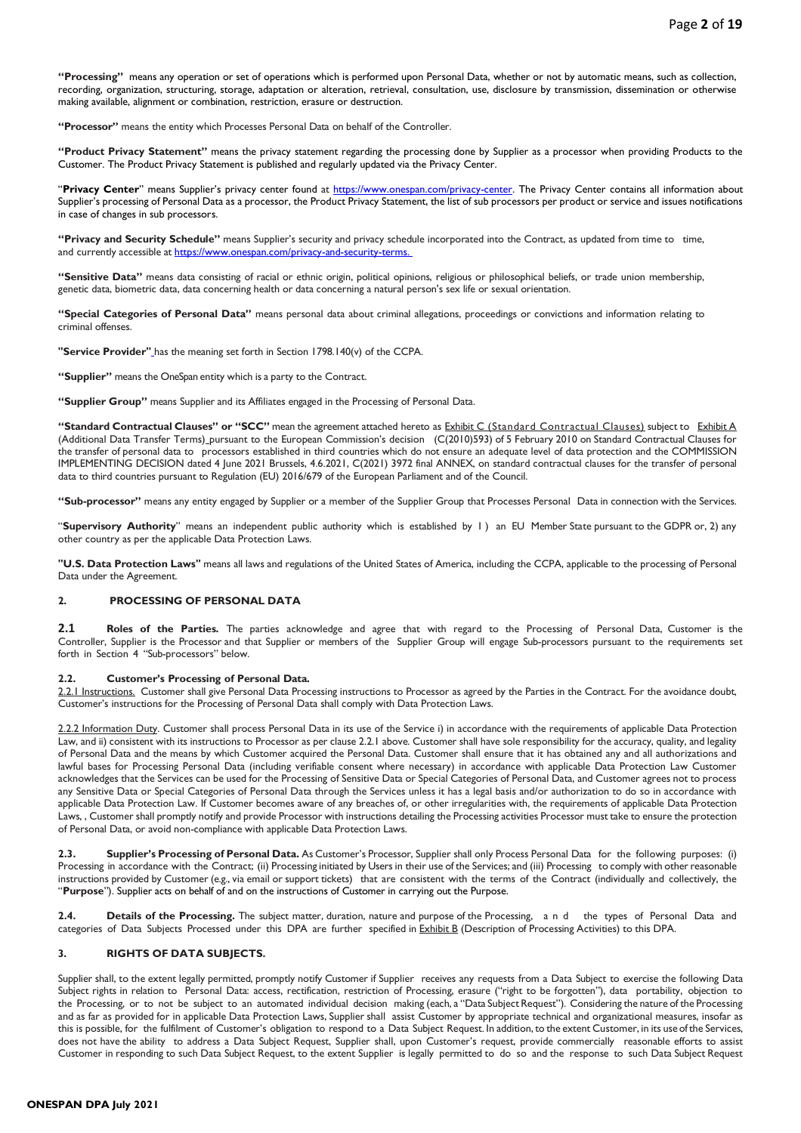**"Processing"** means any operation or set of operations which is performed upon Personal Data, whether or not by automatic means, such as collection, recording, organization, structuring, storage, adaptation or alteration, retrieval, consultation, use, disclosure by transmission, dissemination or otherwise making available, alignment or combination, restriction, erasure or destruction.

**"Processor"** means the entity which Processes Personal Data on behalf of the Controller.

**"Product Privacy Statement"** means the privacy statement regarding the processing done by Supplier as a processor when providing Products to the Customer. The Product Privacy Statement is published and regularly updated via the Privacy Center.

"**Privacy Center**" means Supplier's privacy center found at [https://www.onespan.com/privacy-center.](https://www.onespan.com/privacy-center) The Privacy Center contains all information about Supplier's processing of Personal Data as a processor, the Product Privacy Statement, the list of sub processors per product or service and issues notifications in case of changes in sub processors.

**"Privacy and Security Schedule"** means Supplier's security and privacy schedule incorporated into the Contract, as updated from time to time, and currently accessible at https://www.onespan.com/privacy-and-security-terms

**"Sensitive Data"** means data consisting of racial or ethnic origin, political opinions, religious or philosophical beliefs, or trade union membership, genetic data, biometric data, data concerning health or data concerning a natural person's sex life or sexual orientation.

**"Special Categories of Personal Data"** means personal data about criminal allegations, proceedings or convictions and information relating to criminal offenses.

**"Service Provider"** has the meaning set forth in Section 1798.140(v) of the CCPA.

**"Supplier"** means the OneSpan entity which is a party to the Contract.

**"Supplier Group"** means Supplier and its Affiliates engaged in the Processing of Personal Data.

**"Standard Contractual Clauses" or "SCC"** mean the agreement attached hereto as Exhibit C (Standard Contractual Clauses) subject to Exhibit A (Additional Data Transfer Terms) pursuant to the European Commission's decision (C(2010)593) of 5 February 2010 on Standard Contractual Clauses for the transfer of personal data to processors established in third countries which do not ensure an adequate level of data protection and the COMMISSION IMPLEMENTING DECISION dated 4 June 2021 Brussels, 4.6.2021, C(2021) 3972 final ANNEX, on standard contractual clauses for the transfer of personal data to third countries pursuant to Regulation (EU) 2016/679 of the European Parliament and of the Council.

**"Sub-processor"** means any entity engaged by Supplier or a member of the Supplier Group that Processes Personal Data in connection with the Services.

"**Supervisory Authority**" means an independent public authority which is established by 1) an EU Member State pursuant to the GDPR or, 2) any other country as per the applicable Data Protection Laws.

**"U.S. Data Protection Laws"** means all laws and regulations of the United States of America, including the CCPA, applicable to the processing of Personal Data under the Agreement.

# **2. PROCESSING OF PERSONAL DATA**

**2.1 Roles of the Parties.** The parties acknowledge and agree that with regard to the Processing of Personal Data, Customer is the Controller, Supplier is the Processor and that Supplier or members of the Supplier Group will engage Sub-processors pursuant to the requirements set forth in Section 4 "Sub-processors" below.

#### **2.2. Customer's Processing of Personal Data.**

2.2.1 Instructions. Customer shall give Personal Data Processing instructions to Processor as agreed by the Parties in the Contract. For the avoidance doubt, Customer's instructions for the Processing of Personal Data shall comply with Data Protection Laws.

2.2.2 Information Duty. Customer shall process Personal Data in its use of the Service i) in accordance with the requirements of applicable Data Protection Law, and ii) consistent with its instructions to Processor as per clause 2.2.1 above. Customer shall have sole responsibility for the accuracy, quality, and legality of Personal Data and the means by which Customer acquired the Personal Data. Customer shall ensure that it has obtained any and all authorizations and lawful bases for Processing Personal Data (including verifiable consent where necessary) in accordance with applicable Data Protection Law Customer acknowledges that the Services can be used for the Processing of Sensitive Data or Special Categories of Personal Data, and Customer agrees not to process any Sensitive Data or Special Categories of Personal Data through the Services unless it has a legal basis and/or authorization to do so in accordance with applicable Data Protection Law. If Customer becomes aware of any breaches of, or other irregularities with, the requirements of applicable Data Protection Laws, , Customer shall promptly notify and provide Processor with instructions detailing the Processing activities Processor must take to ensure the protection of Personal Data, or avoid non-compliance with applicable Data Protection Laws.

**2.3. Supplier's Processing of Personal Data.** As Customer's Processor, Supplier shall only Process Personal Data for the following purposes: (i) Processing in accordance with the Contract; (ii) Processing initiated by Users in their use of the Services; and (iii) Processing to comply with other reasonable instructions provided by Customer (e.g., via email or support tickets) that are consistent with the terms of the Contract (individually and collectively, the "**Purpose**"). Supplier acts on behalf of and on the instructions of Customer in carrying out the Purpose.

**2.4. Details of the Processing.** The subject matter, duration, nature and purpose of the Processing, and the types of Personal Data and categories of Data Subjects Processed under this DPA are further specified in Exhibit B (Description of Processing Activities) to this DPA.

# **3. RIGHTS OF DATA SUBJECTS.**

Supplier shall, to the extent legally permitted, promptly notify Customer if Supplier receives any requests from a Data Subject to exercise the following Data Subject rights in relation to Personal Data: access, rectification, restriction of Processing, erasure ("right to be forgotten"), data portability, objection to the Processing, or to not be subject to an automated individual decision making (each, a "Data Subject Request"). Considering the nature of the Processing and as far as provided for in applicable Data Protection Laws, Supplier shall assist Customer by appropriate technical and organizational measures, insofar as this is possible, for the fulfilment of Customer's obligation to respond to a Data Subject Request. In addition,to the extent Customer, in its use ofthe Services, does not have the ability to address a Data Subject Request, Supplier shall, upon Customer's request, provide commercially reasonable efforts to assist Customer in responding to such Data Subject Request, to the extent Supplier is legally permitted to do so and the response to such Data Subject Request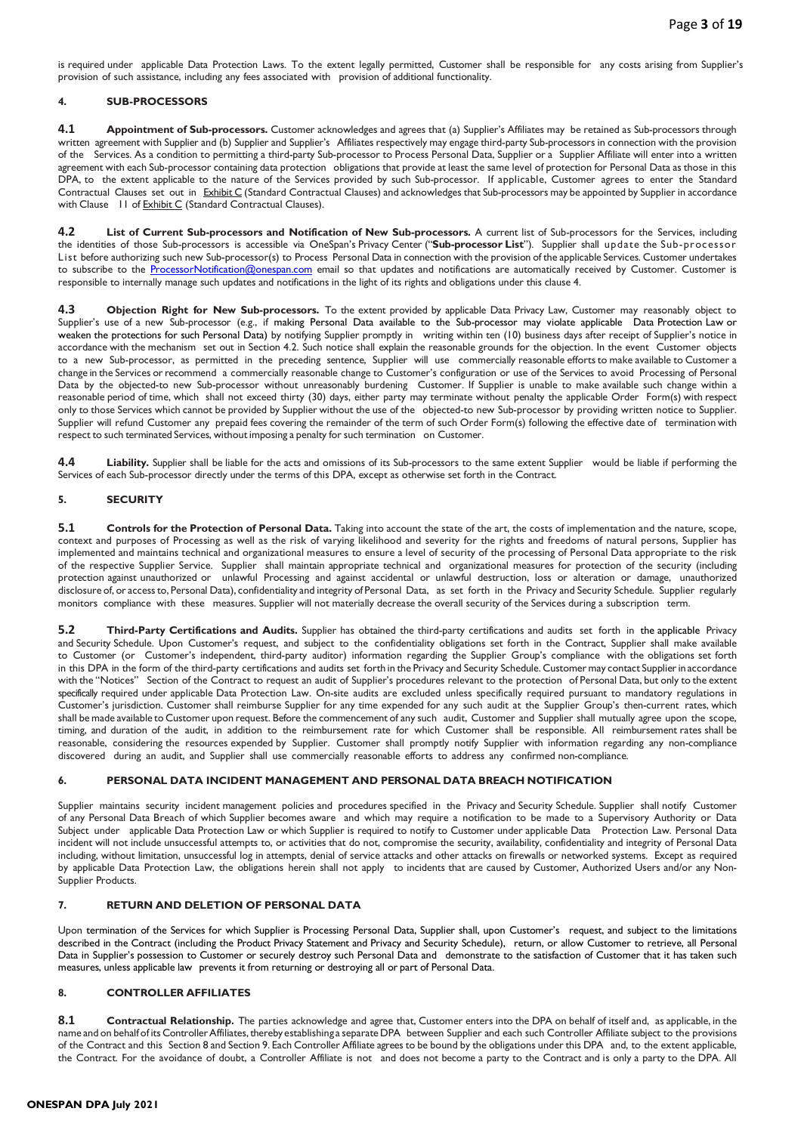is required under applicable Data Protection Laws. To the extent legally permitted, Customer shall be responsible for any costs arising from Supplier's provision of such assistance, including any fees associated with provision of additional functionality.

# **4. SUB-PROCESSORS**

**4.1 Appointment of Sub-processors.** Customer acknowledges and agrees that (a) Supplier's Affiliates may be retained as Sub-processors through written agreement with Supplier and (b) Supplier and Supplier's Affiliates respectively may engage third-party Sub-processors in connection with the provision of the Services. As a condition to permitting a third-party Sub-processor to Process Personal Data, Supplier or a Supplier Affiliate will enter into a written agreement with each Sub-processor containing data protection obligations that provide at least the same level of protection for Personal Data as those in this DPA, to the extent applicable to the nature of the Services provided by such Sub-processor. If applicable, Customer agrees to enter the Standard Contractual Clauses set out in Exhibit C (Standard Contractual Clauses) and acknowledges that Sub-processors may be appointed by Supplier in accordance with Clause 11 of Exhibit C (Standard Contractual Clauses).

**4.2 List of Current Sub-processors and Notification of New Sub-processors.** A current list of Sub-processors for the Services, including the identities of those Sub-processors is accessible via OneSpan's Privacy Center ("**Sub-processor List**"). Supplier shall update the Sub-processor List before authorizing such new Sub-processor(s) to Process Personal Data in connection with the provision of the applicable Services. Customer undertakes to subscribe to the [ProcessorNotification@onespan.com](mailto:ProcessorNotification@onespan.com) email so that updates and notifications are automatically received by Customer. Customer is responsible to internally manage such updates and notifications in the light of its rights and obligations under this clause 4.

**4.3 Objection Right for New Sub-processors.** To the extent provided by applicable Data Privacy Law, Customer may reasonably object to Supplier's use of a new Sub-processor (e.g., if making Personal Data available to the Sub-processor may violate applicable Data Protection Law or weaken the protections for such Personal Data) by notifying Supplier promptly in writing within ten (10) business days after receipt of Supplier's notice in accordance with the mechanism set out in Section 4.2. Such notice shall explain the reasonable grounds for the objection. In the event Customer objects to a new Sub-processor, as permitted in the preceding sentence, Supplier will use commercially reasonable effortsto make available to Customer a change in the Services orrecommend a commercially reasonable change to Customer's configuration or use of the Services to avoid Processing of Personal Data by the objected-to new Sub-processor without unreasonably burdening Customer. If Supplier is unable to make available such change within a reasonable period of time, which shall not exceed thirty (30) days, either party may terminate without penalty the applicable Order Form(s) with respect only to those Services which cannot be provided by Supplier without the use of the objected-to new Sub-processor by providing written notice to Supplier. Supplier will refund Customer any prepaid fees covering the remainder of the term of such Order Form(s) following the effective date of termination with respect to such terminated Services, without imposing a penalty for such termination on Customer.

**4.4 Liability.** Supplier shall be liable for the acts and omissions of its Sub-processors to the same extent Supplier would be liable if performing the Services of each Sub-processor directly under the terms of this DPA, except as otherwise set forth in the Contract.

# **5. SECURITY**

**5.1 Controls for the Protection of Personal Data.** Taking into account the state of the art, the costs of implementation and the nature, scope, context and purposes of Processing as well as the risk of varying likelihood and severity for the rights and freedoms of natural persons, Supplier has implemented and maintains technical and organizational measures to ensure a level of security of the processing of Personal Data appropriate to the risk of the respective Supplier Service. Supplier shall maintain appropriate technical and organizational measures for protection of the security (including protection against unauthorized or unlawful Processing and against accidental or unlawful destruction, loss or alteration or damage, unauthorized disclosure of, or accessto, Personal Data), confidentiality and integrity of Personal Data, as set forth in the Privacy and Security Schedule. Supplier regularly monitors compliance with these measures. Supplier will not materially decrease the overall security of the Services during a subscription term.

**5.2 Third-Party Certifications and Audits.** Supplier has obtained the third-party certifications and audits set forth in the applicable Privacy and Security Schedule. Upon Customer's request, and subject to the confidentiality obligations set forth in the Contract, Supplier shall make available to Customer (or Customer's independent, third-party auditor) information regarding the Supplier Group's compliance with the obligations set forth in this DPA in the form of the third-party certifications and audits set forth in the Privacy and Security Schedule. Customermay contact Supplierinaccordance with the "Notices" Section of the Contract to request an audit of Supplier's procedures relevant to the protection of Personal Data, but only to the extent specifically required under applicable Data Protection Law. On-site audits are excluded unless specifically required pursuant to mandatory regulations in Customer's jurisdiction. Customer shall reimburse Supplier for any time expended for any such audit at the Supplier Group's then-current rates, which shall be made available to Customer upon request. Before the commencement of any such audit, Customer and Supplier shall mutually agree upon the scope, timing, and duration of the audit, in addition to the reimbursement rate for which Customer shall be responsible. All reimbursement rates shall be reasonable, considering the resources expended by Supplier. Customer shall promptly notify Supplier with information regarding any non-compliance discovered during an audit, and Supplier shall use commercially reasonable efforts to address any confirmed non-compliance.

# **6. PERSONAL DATA INCIDENT MANAGEMENT AND PERSONAL DATA BREACH NOTIFICATION**

Supplier maintains security incident management policies and procedures specified in the Privacy and Security Schedule. Supplier shall notify Customer of any Personal Data Breach of which Supplier becomes aware and which may require a notification to be made to a Supervisory Authority or Data Subject under applicable Data Protection Law or which Supplier is required to notify to Customer under applicable Data Protection Law. Personal Data incident will not include unsuccessful attempts to, or activities that do not, compromise the security, availability, confidentiality and integrity of Personal Data including, without limitation, unsuccessful log in attempts, denial of service attacks and other attacks on firewalls or networked systems. Except as required by applicable Data Protection Law, the obligations herein shall not apply to incidents that are caused by Customer, Authorized Users and/or any Non-Supplier Products.

# **7. RETURN AND DELETION OF PERSONAL DATA**

Upon termination of the Services for which Supplier is Processing Personal Data, Supplier shall, upon Customer's request, and subject to the limitations described in the Contract (including the Product Privacy Statement and Privacy and Security Schedule), return, or allow Customer to retrieve, all Personal Data in Supplier's possession to Customer or securely destroy such Personal Data and demonstrate to the satisfaction of Customer that it has taken such measures, unless applicable law prevents it from returning or destroying all or part of Personal Data.

# **8. CONTROLLER AFFILIATES**

**8.1 Contractual Relationship.** The parties acknowledge and agree that, Customer enters into the DPA on behalf of itself and, as applicable, in the name and on behalf of its Controller Affiliates, thereby establishing a separate DPA between Supplier and each such Controller Affiliate subject to the provisions of the Contract and this Section 8 and Section 9. Each Controller Affiliate agrees to be bound by the obligations under this DPA and, to the extent applicable, the Contract. For the avoidance of doubt, a Controller Affiliate is not and does not become a party to the Contract and is only a party to the DPA. All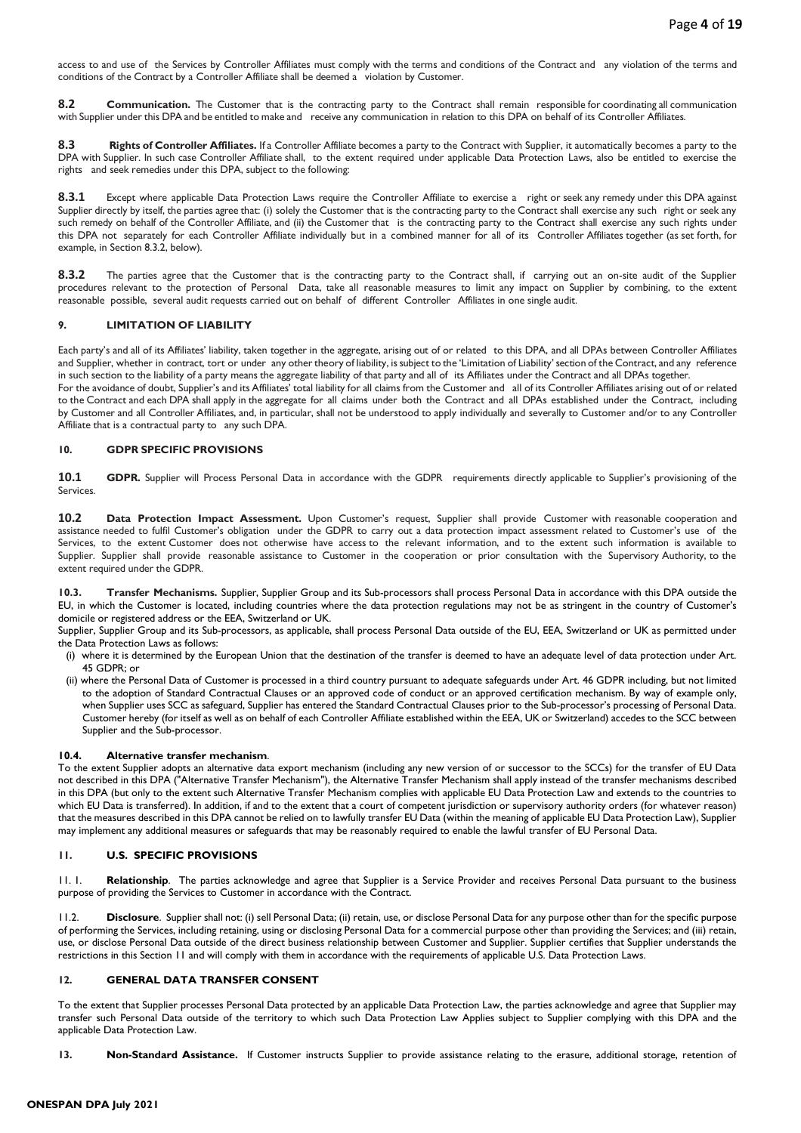access to and use of the Services by Controller Affiliates must comply with the terms and conditions of the Contract and any violation of the terms and conditions of the Contract by a Controller Affiliate shall be deemed a violation by Customer.

8.2 **Communication.** The Customer that is the contracting party to the Contract shall remain responsible for coordinating all communication with Supplier under this DPA and be entitled to make and receive any communication in relation to this DPA on behalf of its Controller Affiliates.

**8.3 Rights of Controller Affiliates.** If a Controller Affiliate becomes a party to the Contract with Supplier, it automatically becomes a party to the DPA with Supplier. In such case Controller Affiliate shall, to the extent required under applicable Data Protection Laws, also be entitled to exercise the rights and seek remedies under this DPA, subject to the following:

**8.3.1** Except where applicable Data Protection Laws require the Controller Affiliate to exercise a right or seek any remedy under this DPA against Supplier directly by itself, the parties agree that: (i) solely the Customer that is the contracting party to the Contract shall exercise any such right or seek any such remedy on behalf of the Controller Affiliate, and (ii) the Customer that is the contracting party to the Contract shall exercise any such rights under this DPA not separately for each Controller Affiliate individually but in a combined manner for all of its Controller Affiliates together (as set forth, for example, in Section 8.3.2, below).

8.3.2 The parties agree that the Customer that is the contracting party to the Contract shall, if carrying out an on-site audit of the Supplier procedures relevant to the protection of Personal Data, take all reasonable measures to limit any impact on Supplier by combining, to the extent reasonable possible, several audit requests carried out on behalf of different Controller Affiliates in one single audit.

# **9. LIMITATION OF LIABILITY**

Each party's and all of its Affiliates' liability, taken together in the aggregate, arising out of or related to this DPA, and all DPAs between Controller Affiliates and Supplier, whether in contract, tort or under any othertheory of liability, issubject to the 'Limitation of Liability'section of the Contract, and any reference in such section to the liability of a party means the aggregate liability of that party and all of its Affiliates under the Contract and all DPAs together. For the avoidance of doubt, Supplier's and its Affiliates' total liability for all claims from the Customer and all of its Controller Affiliates arising out of or related to the Contract and each DPA shall apply in the aggregate for all claims under both the Contract and all DPAs established under the Contract, including by Customer and all Controller Affiliates, and, in particular, shall not be understood to apply individually and severally to Customer and/or to any Controller Affiliate that is a contractual party to any such DPA.

# **10. GDPR SPECIFIC PROVISIONS**

10.1 **GDPR.** Supplier will Process Personal Data in accordance with the GDPR requirements directly applicable to Supplier's provisioning of the Services.

**10.2 Data Protection Impact Assessment.** Upon Customer's request, Supplier shall provide Customer with reasonable cooperation and assistance needed to fulfil Customer's obligation under the GDPR to carry out a data protection impact assessment related to Customer's use of the Services, to the extent Customer does not otherwise have access to the relevant information, and to the extent such information is available to Supplier. Supplier shall provide reasonable assistance to Customer in the cooperation or prior consultation with the Supervisory Authority, to the extent required under the GDPR.

**10.3. Transfer Mechanisms.** Supplier, Supplier Group and its Sub-processors shall process Personal Data in accordance with this DPA outside the EU, in which the Customer is located, including countries where the data protection regulations may not be as stringent in the country of Customer's domicile or registered address or the EEA, Switzerland or UK.

Supplier, Supplier Group and its Sub-processors, as applicable, shall process Personal Data outside of the EU, EEA, Switzerland or UK as permitted under the Data Protection Laws as follows:

- (i) where it is determined by the European Union that the destination of the transfer is deemed to have an adequate level of data protection under Art. 45 GDPR; or
- (ii) where the Personal Data of Customer is processed in a third country pursuant to adequate safeguards under Art. 46 GDPR including, but not limited to the adoption of Standard Contractual Clauses or an approved code of conduct or an approved certification mechanism. By way of example only, when Supplier uses SCC as safeguard, Supplier has entered the Standard Contractual Clauses prior to the Sub-processor's processing of Personal Data. Customer hereby (for itself as well as on behalf of each Controller Affiliate established within the EEA, UK or Switzerland) accedes to the SCC between Supplier and the Sub-processor.

### **10.4. Alternative transfer mechanism**.

To the extent Supplier adopts an alternative data export mechanism (including any new version of or successor to the SCCs) for the transfer of EU Data not described in this DPA ("Alternative Transfer Mechanism"), the Alternative Transfer Mechanism shall apply instead of the transfer mechanisms described in this DPA (but only to the extent such Alternative Transfer Mechanism complies with applicable EU Data Protection Law and extends to the countries to which EU Data is transferred). In addition, if and to the extent that a court of competent jurisdiction or supervisory authority orders (for whatever reason) that the measures described in this DPA cannot be relied on to lawfully transfer EU Data (within the meaning of applicable EU Data Protection Law), Supplier may implement any additional measures or safeguards that may be reasonably required to enable the lawful transfer of EU Personal Data.

# **11. U.S. SPECIFIC PROVISIONS**

11. 1. **Relationship**. The parties acknowledge and agree that Supplier is a Service Provider and receives Personal Data pursuant to the business purpose of providing the Services to Customer in accordance with the Contract.

Disclosure. Supplier shall not: (i) sell Personal Data; (ii) retain, use, or disclose Personal Data for any purpose other than for the specific purpose of performing the Services, including retaining, using or disclosing Personal Data for a commercial purpose other than providing the Services; and (iii) retain, use, or disclose Personal Data outside of the direct business relationship between Customer and Supplier. Supplier certifies that Supplier understands the restrictions in this Section 11 and will comply with them in accordance with the requirements of applicable U.S. Data Protection Laws.

# **12. GENERAL DATA TRANSFER CONSENT**

To the extent that Supplier processes Personal Data protected by an applicable Data Protection Law, the parties acknowledge and agree that Supplier may transfer such Personal Data outside of the territory to which such Data Protection Law Applies subject to Supplier complying with this DPA and the applicable Data Protection Law.

13. **Non-Standard Assistance.** If Customer instructs Supplier to provide assistance relating to the erasure, additional storage, retention of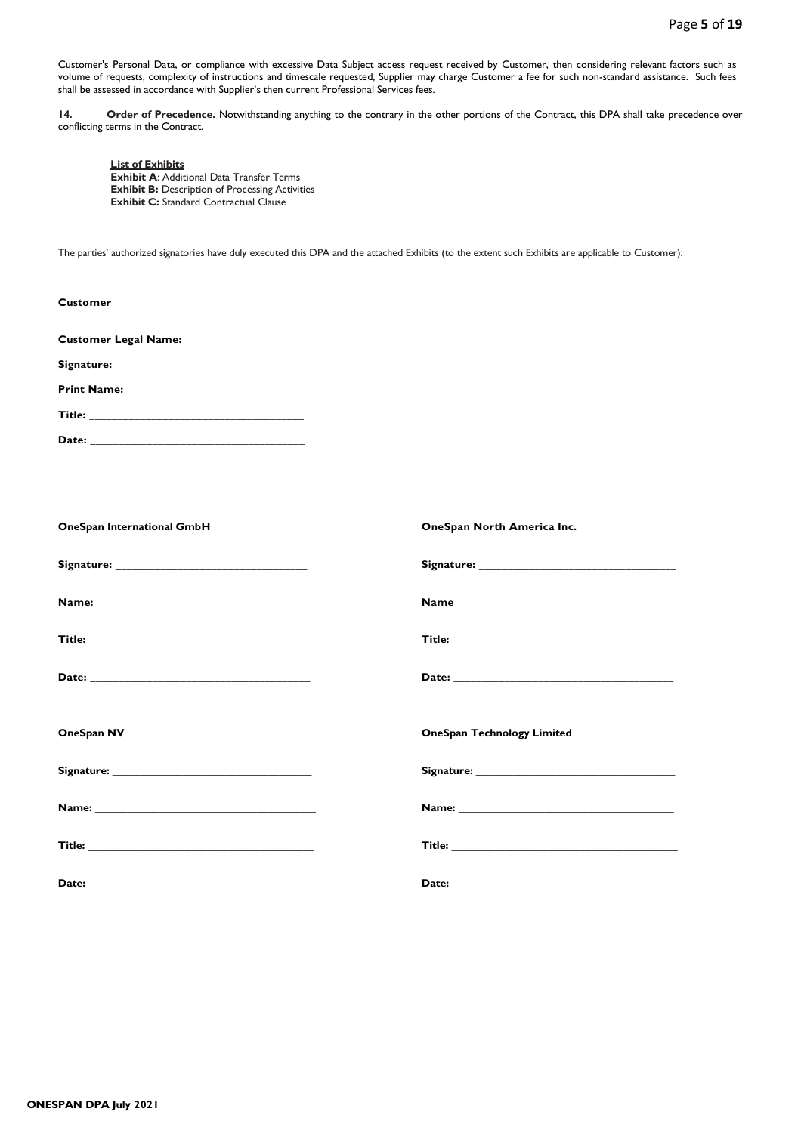Customer's Personal Data, or compliance with excessive Data Subject access request received by Customer, then considering relevant factors such as volume of requests, complexity of instructions and timescale requested, Supplier may charge Customer a fee for such non-standard assistance. Such fees shall be assessed in accordance with Supplier's then current Professional Services fees.

14. **Order of Precedence.** Notwithstanding anything to the contrary in the other portions of the Contract, this DPA shall take precedence over conflicting terms in the Contract.

# **List of Exhibits**

**Exhibit A**: Additional Data Transfer Terms **Exhibit B:** Description of Processing Activities **Exhibit C:** Standard Contractual Clause

The parties' authorized signatories have duly executed this DPA and the attached Exhibits (to the extent such Exhibits are applicable to Customer):

# **Customer**

| OneSpan International GmbH | OneSpan North America Inc.        |
|----------------------------|-----------------------------------|
|                            |                                   |
|                            |                                   |
|                            |                                   |
|                            |                                   |
|                            |                                   |
| OneSpan NV                 | <b>OneSpan Technology Limited</b> |
|                            |                                   |
|                            |                                   |
|                            |                                   |
|                            |                                   |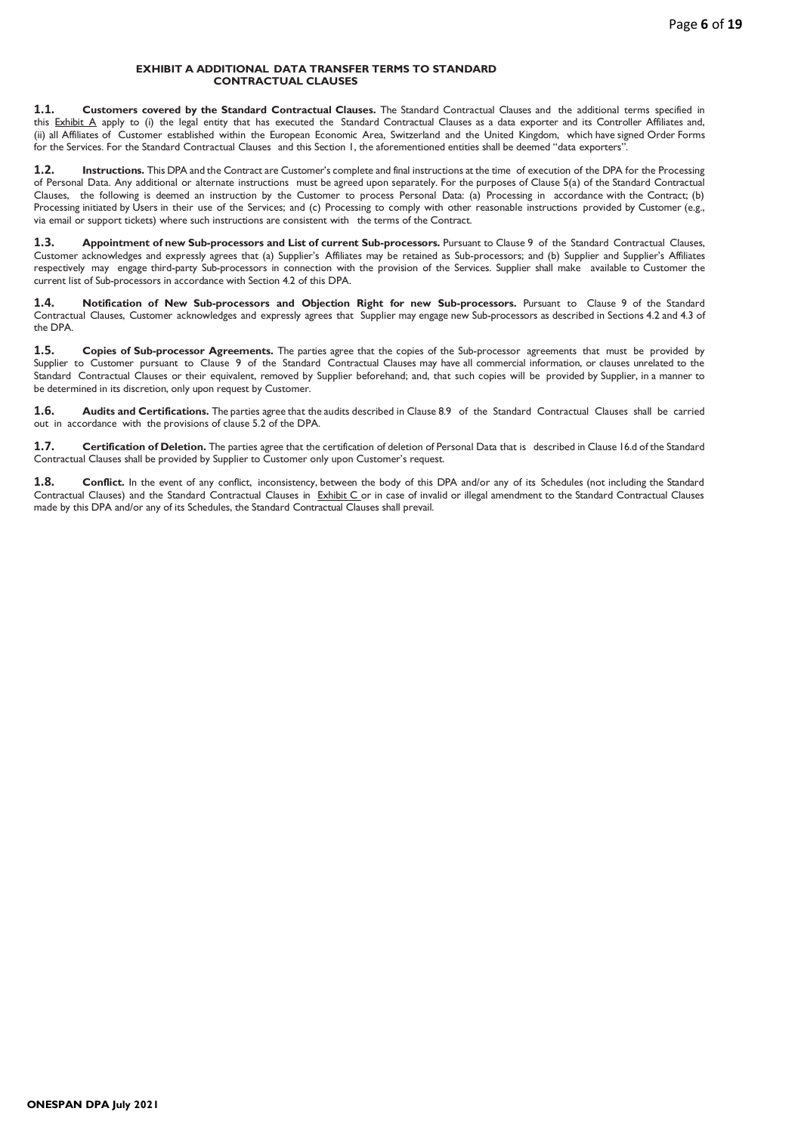# **EXHIBIT A ADDITIONAL DATA TRANSFER TERMS TO STANDARD CONTRACTUAL CLAUSES**

**1.1. Customers covered by the Standard Contractual Clauses.** The Standard Contractual Clauses and the additional terms specified in this Exhibit A apply to (i) the legal entity that has executed the Standard Contractual Clauses as a data exporter and its Controller Affiliates and, (ii) all Affiliates of Customer established within the European Economic Area, Switzerland and the United Kingdom, which have signed Order Forms for the Services. For the Standard Contractual Clauses and this Section 1, the aforementioned entities shall be deemed "data exporters".

**1.2. Instructions.** This DPA and the Contract are Customer's complete and final instructions at the time of execution of the DPA for the Processing of Personal Data. Any additional or alternate instructions must be agreed upon separately. For the purposes of Clause 5(a) of the Standard Contractual Clauses, the following is deemed an instruction by the Customer to process Personal Data: (a) Processing in accordance with the Contract; (b) Processing initiated by Users in their use of the Services; and (c) Processing to comply with other reasonable instructions provided by Customer (e.g., via email or support tickets) where such instructions are consistent with the terms of the Contract.

**1.3. Appointment of new Sub-processors and List of current Sub-processors.** Pursuant to Clause 9 of the Standard Contractual Clauses, Customer acknowledges and expressly agrees that (a) Supplier's Affiliates may be retained as Sub-processors; and (b) Supplier and Supplier's Affiliates respectively may engage third-party Sub-processors in connection with the provision of the Services. Supplier shall make available to Customer the current list of Sub-processors in accordance with Section 4.2 of this DPA.

**1.4. Notification of New Sub-processors and Objection Right for new Sub-processors.** Pursuant to Clause 9 of the Standard Contractual Clauses, Customer acknowledges and expressly agrees that Supplier may engage new Sub-processors as described in Sections 4.2 and 4.3 of the DPA.

**1.5. Copies of Sub-processor Agreements.** The parties agree that the copies of the Sub-processor agreements that must be provided by Supplier to Customer pursuant to Clause 9 of the Standard Contractual Clauses may have all commercial information, or clauses unrelated to the Standard Contractual Clauses or their equivalent, removed by Supplier beforehand; and, that such copies will be provided by Supplier, in a manner to be determined in its discretion, only upon request by Customer.

**1.6. Audits and Certifications.** The parties agree that the audits described in Clause 8.9 of the Standard Contractual Clauses shall be carried out in accordance with the provisions of clause 5.2 of the DPA.

**1.7. Certification of Deletion.** The parties agree that the certification of deletion of Personal Data that is described in Clause 16.d of the Standard Contractual Clauses shall be provided by Supplier to Customer only upon Customer's request.

1.8. Conflict. In the event of any conflict, inconsistency, between the body of this DPA and/or any of its Schedules (not including the Standard Contractual Clauses) and the Standard Contractual Clauses in Exhibit C or in case of invalid or illegal amendment to the Standard Contractual Clauses made by this DPA and/or any of its Schedules, the Standard Contractual Clauses shall prevail.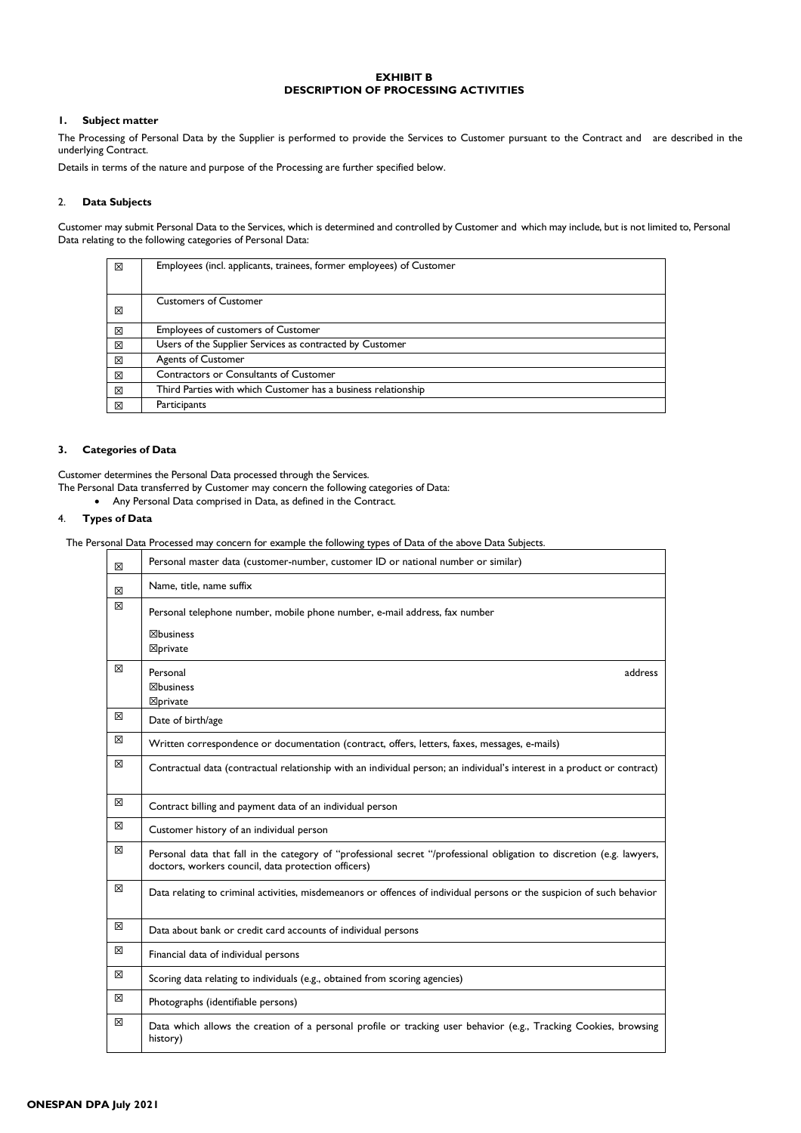# **EXHIBIT B DESCRIPTION OF PROCESSING ACTIVITIES**

# **1. Subject matter**

The Processing of Personal Data by the Supplier is performed to provide the Services to Customer pursuant to the Contract and are described in the underlying Contract.

Details in terms of the nature and purpose of the Processing are further specified below.

# 2. **Data Subjects**

Customer may submit Personal Data to the Services, which is determined and controlled by Customer and which may include, but is not limited to, Personal Data relating to the following categories of Personal Data:

| ⊠ | Employees (incl. applicants, trainees, former employees) of Customer |
|---|----------------------------------------------------------------------|
| ⊠ | <b>Customers of Customer</b>                                         |
| ⊠ | <b>Employees of customers of Customer</b>                            |
| ⊠ | Users of the Supplier Services as contracted by Customer             |
| ⊠ | <b>Agents of Customer</b>                                            |
| ⊠ | Contractors or Consultants of Customer                               |
| ⊠ | Third Parties with which Customer has a business relationship        |
| ⊠ | Participants                                                         |

# **3. Categories of Data**

Customer determines the Personal Data processed through the Services. The Personal Data transferred by Customer may concern the following categories of Data:

• Any Personal Data comprised in Data, as defined in the Contract.

# 4. **Types of Data**

The Personal Data Processed may concern for example the following types of Data of the above Data Subjects.

| X | Personal master data (customer-number, customer ID or national number or similar)                                                                                             |
|---|-------------------------------------------------------------------------------------------------------------------------------------------------------------------------------|
| X | Name, title, name suffix                                                                                                                                                      |
| X | Personal telephone number, mobile phone number, e-mail address, fax number<br><b>X</b> business<br>⊠private                                                                   |
| X | Personal<br>address<br><b>X</b> business<br>⊠private                                                                                                                          |
| ⊠ | Date of birth/age                                                                                                                                                             |
| × | Written correspondence or documentation (contract, offers, letters, faxes, messages, e-mails)                                                                                 |
| ⊠ | Contractual data (contractual relationship with an individual person; an individual's interest in a product or contract)                                                      |
| X | Contract billing and payment data of an individual person                                                                                                                     |
| X | Customer history of an individual person                                                                                                                                      |
| X | Personal data that fall in the category of "professional secret "/professional obligation to discretion (e.g. lawyers,<br>doctors, workers council, data protection officers) |
| X | Data relating to criminal activities, misdemeanors or offences of individual persons or the suspicion of such behavior                                                        |
| × | Data about bank or credit card accounts of individual persons                                                                                                                 |
| X | Financial data of individual persons                                                                                                                                          |
| X | Scoring data relating to individuals (e.g., obtained from scoring agencies)                                                                                                   |
| X | Photographs (identifiable persons)                                                                                                                                            |
| × | Data which allows the creation of a personal profile or tracking user behavior (e.g., Tracking Cookies, browsing<br>history)                                                  |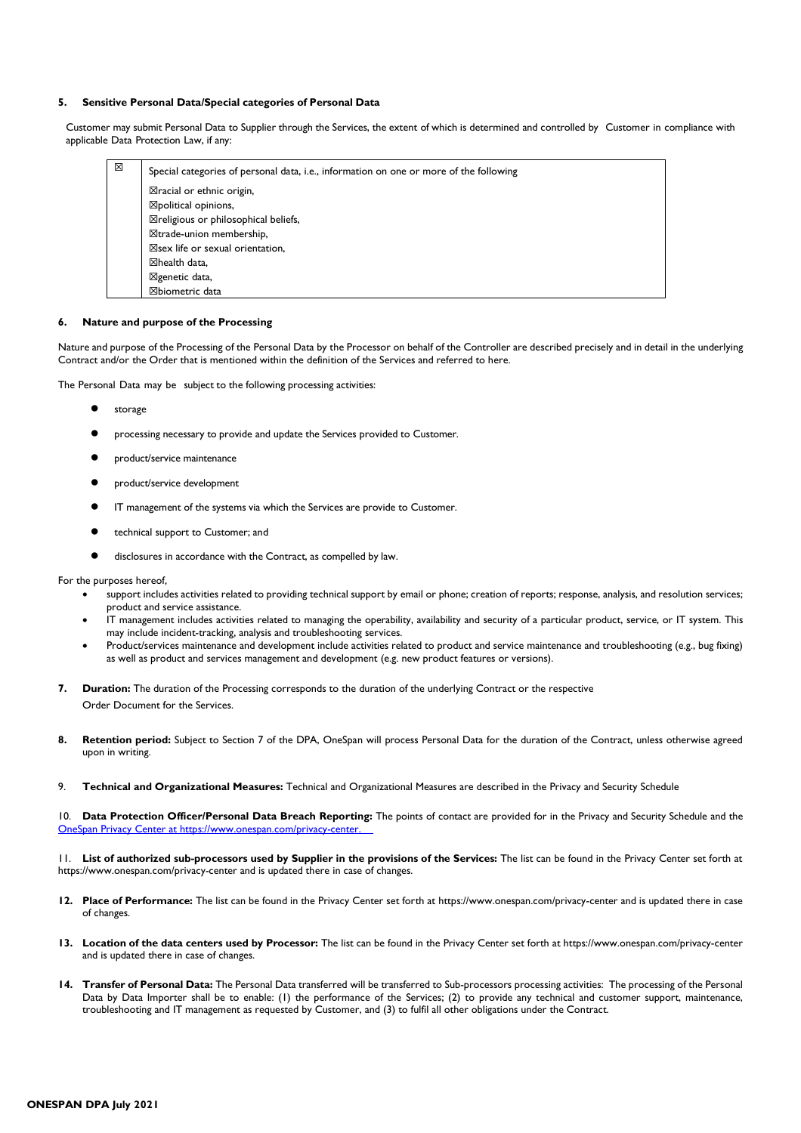# **5. Sensitive Personal Data/Special categories of Personal Data**

Customer may submit Personal Data to Supplier through the Services, the extent of which is determined and controlled by Customer in compliance with applicable Data Protection Law, if any:

| ⊠ | Special categories of personal data, i.e., information on one or more of the following |
|---|----------------------------------------------------------------------------------------|
|   | $\boxtimes$ racial or ethnic origin,                                                   |
|   | $\boxtimes$ political opinions,                                                        |
|   | ⊠religious or philosophical beliefs,                                                   |
|   | ⊠trade-union membership,                                                               |
|   | $\boxtimes$ sex life or sexual orientation,                                            |
|   | ⊠health data.                                                                          |
|   | ⊠genetic data,                                                                         |
|   | ⊠biometric data                                                                        |

# **6. Nature and purpose of the Processing**

Nature and purpose of the Processing of the Personal Data by the Processor on behalf of the Controller are described precisely and in detail in the underlying Contract and/or the Order that is mentioned within the definition of the Services and referred to here.

The Personal Data may be subject to the following processing activities:

- storage
- processing necessary to provide and update the Services provided to Customer.
- product/service maintenance
- product/service development
- IT management of the systems via which the Services are provide to Customer.
- technical support to Customer; and
- disclosures in accordance with the Contract, as compelled by law.

For the purposes hereof,

- support includes activities related to providing technical support by email or phone; creation of reports; response, analysis, and resolution services; product and service assistance.
- IT management includes activities related to managing the operability, availability and security of a particular product, service, or IT system. This may include incident-tracking, analysis and troubleshooting services.
- Product/services maintenance and development include activities related to product and service maintenance and troubleshooting (e.g., bug fixing) as well as product and services management and development (e.g. new product features or versions).
- **7. Duration:** The duration of the Processing corresponds to the duration of the underlying Contract or the respective Order Document for the Services.
- **8. Retention period:** Subject to Section 7 of the DPA, OneSpan will process Personal Data for the duration of the Contract, unless otherwise agreed upon in writing.
- 9. **Technical and Organizational Measures:** Technical and Organizational Measures are described in the Privacy and Security Schedule

10. **Data Protection Officer/Personal Data Breach Reporting:** The points of contact are provided for in the Privacy and Security Schedule and the OneSpan Privacy Center at https://www.onespan.com/privacy-center.

11. **List of authorized sub-processors used by Supplier in the provisions of the Services:** The list can be found in the Privacy Center set forth at https://www.onespan.com/privacy-center and is updated there in case of changes.

- **12. Place of Performance:** The list can be found in the Privacy Center set forth at https://www.onespan.com/privacy-center and is updated there in case of changes.
- **13. Location of the data centers used by Processor:** The list can be found in the Privacy Center set forth at https://www.onespan.com/privacy-center and is updated there in case of changes.
- **14. Transfer of Personal Data:** The Personal Data transferred will be transferred to Sub-processors processing activities: The processing of the Personal Data by Data Importer shall be to enable: (1) the performance of the Services; (2) to provide any technical and customer support, maintenance, troubleshooting and IT management as requested by Customer, and (3) to fulfil all other obligations under the Contract.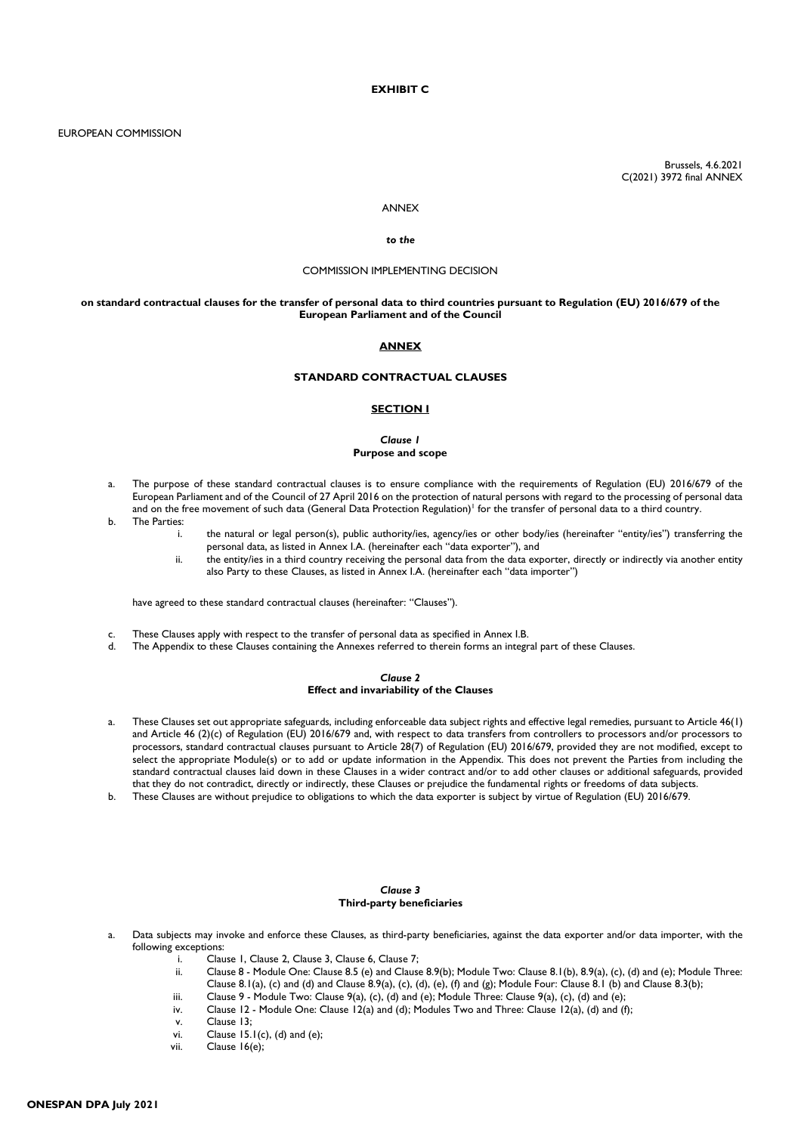Brussels, 4.6.2021 C(2021) 3972 final ANNEX

### ANNEX

#### *to the*

# COMMISSION IMPLEMENTING DECISION

## **on standard contractual clauses for the transfer of personal data to third countries pursuant to Regulation (EU) 2016/679 of the European Parliament and of the Council**

## **ANNEX**

# **STANDARD CONTRACTUAL CLAUSES**

# **SECTION I**

## *Clause 1*

### **Purpose and scope**

- a. The purpose of these standard contractual clauses is to ensure compliance with the requirements of Regulation (EU) 2016/679 of the European Parliament and of the Council of 27 April 2016 on the protection of natural persons with regard to the processing of personal data and on the free movement of such data (General Data Protection Regulation)<sup>1</sup> for the transfer of personal data to a third country. b. The Parties:
- - i. the natural or legal person(s), public authority/ies, agency/ies or other body/ies (hereinafter "entity/ies") transferring the personal data, as listed in Annex I.A. (hereinafter each "data exporter"), and
	- ii. the entity/ies in a third country receiving the personal data from the data exporter, directly or indirectly via another entity also Party to these Clauses, as listed in Annex I.A. (hereinafter each "data importer")

have agreed to these standard contractual clauses (hereinafter: "Clauses").

- c. These Clauses apply with respect to the transfer of personal data as specified in Annex I.B.
- The Appendix to these Clauses containing the Annexes referred to therein forms an integral part of these Clauses.

#### *Clause 2* **Effect and invariability of the Clauses**

- a. These Clauses set out appropriate safeguards, including enforceable data subject rights and effective legal remedies, pursuant to Article 46(1) and Article 46 (2)(c) of Regulation (EU) 2016/679 and, with respect to data transfers from controllers to processors and/or processors to processors, standard contractual clauses pursuant to Article 28(7) of Regulation (EU) 2016/679, provided they are not modified, except to select the appropriate Module(s) or to add or update information in the Appendix. This does not prevent the Parties from including the standard contractual clauses laid down in these Clauses in a wider contract and/or to add other clauses or additional safeguards, provided that they do not contradict, directly or indirectly, these Clauses or prejudice the fundamental rights or freedoms of data subjects.
- b. These Clauses are without prejudice to obligations to which the data exporter is subject by virtue of Regulation (EU) 2016/679.

## *Clause 3* **Third-party beneficiaries**

- a. Data subjects may invoke and enforce these Clauses, as third-party beneficiaries, against the data exporter and/or data importer, with the following exceptions:
	- i. Clause 1, Clause 2, Clause 3, Clause 6, Clause 7;
	- ii. Clause 8 Module One: Clause 8.5 (e) and Clause 8.9(b); Module Two: Clause 8.1(b), 8.9(a), (c), (d) and (e); Module Three: Clause 8.1(a), (c) and (d) and Clause 8.9(a), (c), (d), (e), (f) and (g); Module Four: Clause 8.1 (b) and Clause 8.3(b);
	- iii. Clause 9 Module Two: Clause 9(a), (c), (d) and (e); Module Three: Clause 9(a), (c), (d) and (e); (v. Clause 12 Module One: Clause 12(a), and (f); (v. Clause 12(a), (d) and (f);
		- Clause 12 Module One: Clause 12(a) and (d); Modules Two and Three: Clause 12(a), (d) and (f);
	- v. Clause 13;
	- vi. Clause  $15.1(c)$ , (d) and (e);
	- vii. Clause 16(e);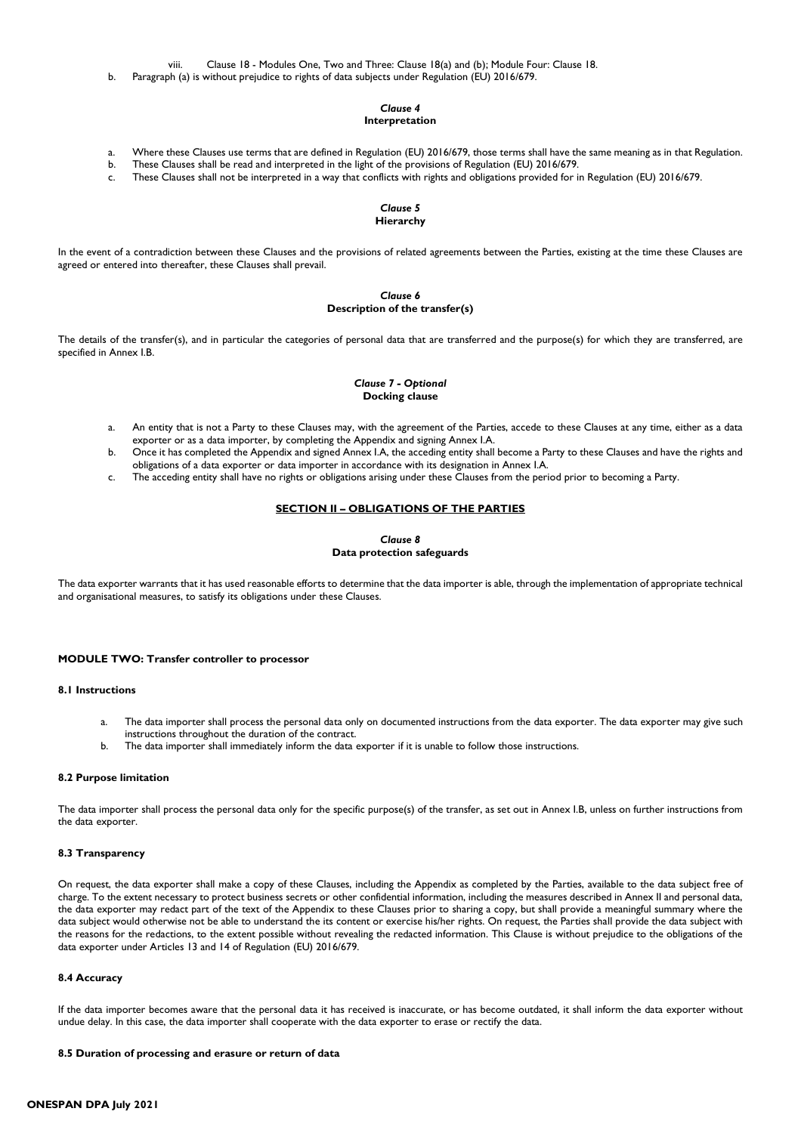viii. Clause 18 - Modules One, Two and Three: Clause 18(a) and (b); Module Four: Clause 18.

b. Paragraph (a) is without prejudice to rights of data subjects under Regulation (EU) 2016/679.

#### *Clause 4* **Interpretation**

- a. Where these Clauses use terms that are defined in Regulation (EU) 2016/679, those terms shall have the same meaning as in that Regulation.
- b. These Clauses shall be read and interpreted in the light of the provisions of Regulation (EU) 2016/679.
- c. These Clauses shall not be interpreted in a way that conflicts with rights and obligations provided for in Regulation (EU) 2016/679.

## *Clause 5* **Hierarchy**

In the event of a contradiction between these Clauses and the provisions of related agreements between the Parties, existing at the time these Clauses are agreed or entered into thereafter, these Clauses shall prevail.

# *Clause 6* **Description of the transfer(s)**

The details of the transfer(s), and in particular the categories of personal data that are transferred and the purpose(s) for which they are transferred, are specified in Annex I.B.

# *Clause 7 - Optional* **Docking clause**

- a. An entity that is not a Party to these Clauses may, with the agreement of the Parties, accede to these Clauses at any time, either as a data exporter or as a data importer, by completing the Appendix and signing Annex I.A.
- b. Once it has completed the Appendix and signed Annex I.A, the acceding entity shall become a Party to these Clauses and have the rights and obligations of a data exporter or data importer in accordance with its designation in Annex I.A.
- c. The acceding entity shall have no rights or obligations arising under these Clauses from the period prior to becoming a Party.

## **SECTION II – OBLIGATIONS OF THE PARTIES**

#### *Clause 8* **Data protection safeguards**

The data exporter warrants that it has used reasonable efforts to determine that the data importer is able, through the implementation of appropriate technical and organisational measures, to satisfy its obligations under these Clauses.

# **MODULE TWO: Transfer controller to processor**

#### **8.1 Instructions**

- a. The data importer shall process the personal data only on documented instructions from the data exporter. The data exporter may give such instructions throughout the duration of the contract.
- b. The data importer shall immediately inform the data exporter if it is unable to follow those instructions.

#### **8.2 Purpose limitation**

The data importer shall process the personal data only for the specific purpose(s) of the transfer, as set out in Annex I.B, unless on further instructions from the data exporter.

## **8.3 Transparency**

On request, the data exporter shall make a copy of these Clauses, including the Appendix as completed by the Parties, available to the data subject free of charge. To the extent necessary to protect business secrets or other confidential information, including the measures described in Annex II and personal data, the data exporter may redact part of the text of the Appendix to these Clauses prior to sharing a copy, but shall provide a meaningful summary where the data subject would otherwise not be able to understand the its content or exercise his/her rights. On request, the Parties shall provide the data subject with the reasons for the redactions, to the extent possible without revealing the redacted information. This Clause is without prejudice to the obligations of the data exporter under Articles 13 and 14 of Regulation (EU) 2016/679.

## **8.4 Accuracy**

If the data importer becomes aware that the personal data it has received is inaccurate, or has become outdated, it shall inform the data exporter without undue delay. In this case, the data importer shall cooperate with the data exporter to erase or rectify the data.

#### **8.5 Duration of processing and erasure or return of data**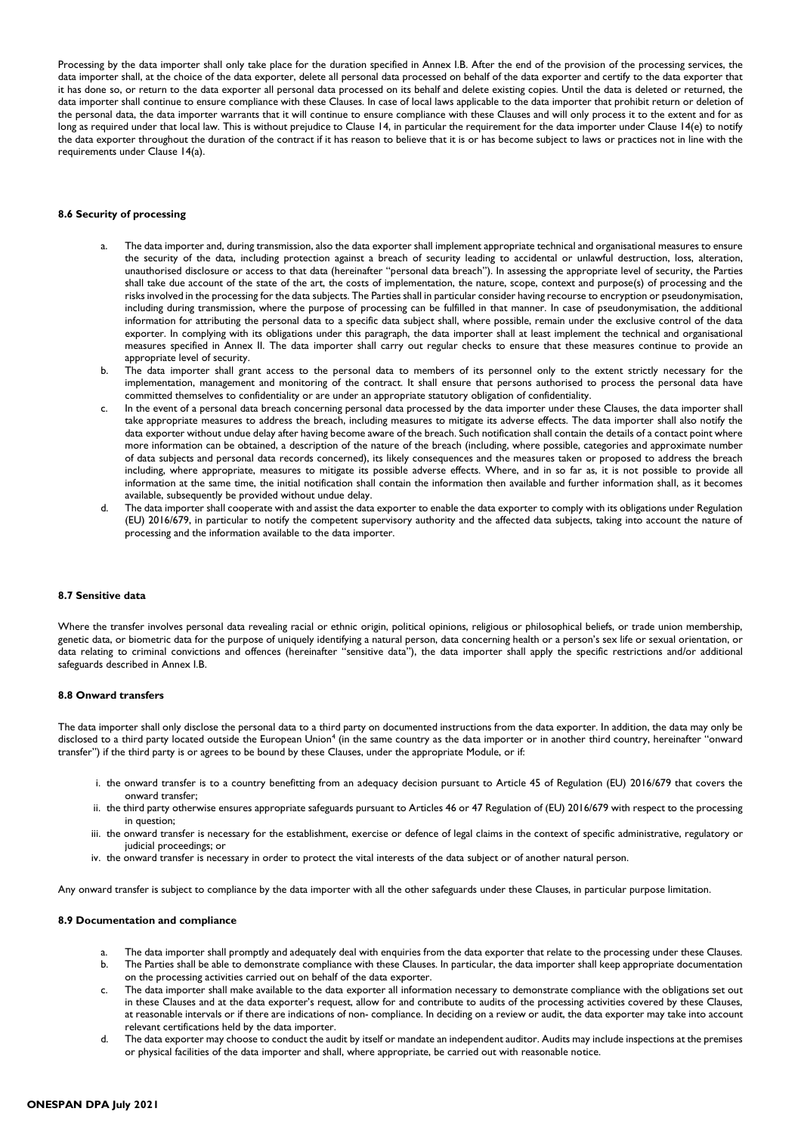Processing by the data importer shall only take place for the duration specified in Annex I.B. After the end of the provision of the processing services, the data importer shall, at the choice of the data exporter, delete all personal data processed on behalf of the data exporter and certify to the data exporter that it has done so, or return to the data exporter all personal data processed on its behalf and delete existing copies. Until the data is deleted or returned, the data importer shall continue to ensure compliance with these Clauses. In case of local laws applicable to the data importer that prohibit return or deletion of the personal data, the data importer warrants that it will continue to ensure compliance with these Clauses and will only process it to the extent and for as long as required under that local law. This is without prejudice to Clause 14, in particular the requirement for the data importer under Clause 14(e) to notify the data exporter throughout the duration of the contract if it has reason to believe that it is or has become subject to laws or practices not in line with the requirements under Clause 14(a).

### **8.6 Security of processing**

- a. The data importer and, during transmission, also the data exporter shall implement appropriate technical and organisational measures to ensure the security of the data, including protection against a breach of security leading to accidental or unlawful destruction, loss, alteration, unauthorised disclosure or access to that data (hereinafter "personal data breach"). In assessing the appropriate level of security, the Parties shall take due account of the state of the art, the costs of implementation, the nature, scope, context and purpose(s) of processing and the risks involved in the processing for the data subjects. The Parties shall in particular consider having recourse to encryption or pseudonymisation, including during transmission, where the purpose of processing can be fulfilled in that manner. In case of pseudonymisation, the additional information for attributing the personal data to a specific data subject shall, where possible, remain under the exclusive control of the data exporter. In complying with its obligations under this paragraph, the data importer shall at least implement the technical and organisational measures specified in Annex II. The data importer shall carry out regular checks to ensure that these measures continue to provide an appropriate level of security.
- b. The data importer shall grant access to the personal data to members of its personnel only to the extent strictly necessary for the implementation, management and monitoring of the contract. It shall ensure that persons authorised to process the personal data have committed themselves to confidentiality or are under an appropriate statutory obligation of confidentiality.
- c. In the event of a personal data breach concerning personal data processed by the data importer under these Clauses, the data importer shall take appropriate measures to address the breach, including measures to mitigate its adverse effects. The data importer shall also notify the data exporter without undue delay after having become aware of the breach. Such notification shall contain the details of a contact point where more information can be obtained, a description of the nature of the breach (including, where possible, categories and approximate number of data subjects and personal data records concerned), its likely consequences and the measures taken or proposed to address the breach including, where appropriate, measures to mitigate its possible adverse effects. Where, and in so far as, it is not possible to provide all information at the same time, the initial notification shall contain the information then available and further information shall, as it becomes available, subsequently be provided without undue delay.
- d. The data importer shall cooperate with and assist the data exporter to enable the data exporter to comply with its obligations under Regulation (EU) 2016/679, in particular to notify the competent supervisory authority and the affected data subjects, taking into account the nature of processing and the information available to the data importer.

#### **8.7 Sensitive data**

Where the transfer involves personal data revealing racial or ethnic origin, political opinions, religious or philosophical beliefs, or trade union membership, genetic data, or biometric data for the purpose of uniquely identifying a natural person, data concerning health or a person's sex life or sexual orientation, or data relating to criminal convictions and offences (hereinafter "sensitive data"), the data importer shall apply the specific restrictions and/or additional safeguards described in Annex I.B.

#### **8.8 Onward transfers**

The data importer shall only disclose the personal data to a third party on documented instructions from the data exporter. In addition, the data may only be disclosed to a third party located outside the European Union<sup>4</sup> (in the same country as the data importer or in another third country, hereinafter "onward transfer") if the third party is or agrees to be bound by these Clauses, under the appropriate Module, or if:

- i. the onward transfer is to a country benefitting from an adequacy decision pursuant to Article 45 of Regulation (EU) 2016/679 that covers the onward transfer;
- ii. the third party otherwise ensures appropriate safeguards pursuant to Articles 46 or 47 Regulation of (EU) 2016/679 with respect to the processing in question;
- iii. the onward transfer is necessary for the establishment, exercise or defence of legal claims in the context of specific administrative, regulatory or judicial proceedings; or
- iv. the onward transfer is necessary in order to protect the vital interests of the data subject or of another natural person.

Any onward transfer is subject to compliance by the data importer with all the other safeguards under these Clauses, in particular purpose limitation.

#### **8.9 Documentation and compliance**

- a. The data importer shall promptly and adequately deal with enquiries from the data exporter that relate to the processing under these Clauses.
- b. The Parties shall be able to demonstrate compliance with these Clauses. In particular, the data importer shall keep appropriate documentation on the processing activities carried out on behalf of the data exporter.
- c. The data importer shall make available to the data exporter all information necessary to demonstrate compliance with the obligations set out in these Clauses and at the data exporter's request, allow for and contribute to audits of the processing activities covered by these Clauses, at reasonable intervals or if there are indications of non- compliance. In deciding on a review or audit, the data exporter may take into account relevant certifications held by the data importer.
- d. The data exporter may choose to conduct the audit by itself or mandate an independent auditor. Audits may include inspections at the premises or physical facilities of the data importer and shall, where appropriate, be carried out with reasonable notice.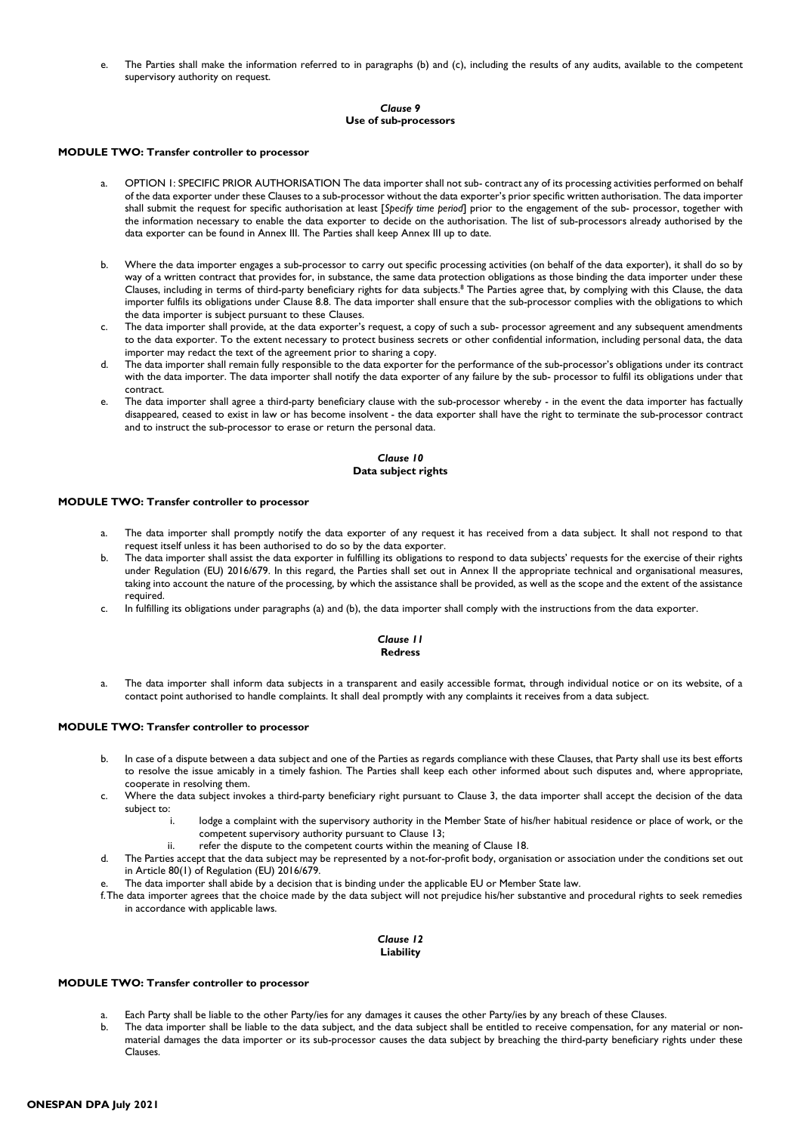The Parties shall make the information referred to in paragraphs (b) and (c), including the results of any audits, available to the competent supervisory authority on request.

# *Clause 9* **Use of sub-processors**

#### **MODULE TWO: Transfer controller to processor**

- a. OPTION 1: SPECIFIC PRIOR AUTHORISATION The data importer shall not sub- contract any of its processing activities performed on behalf of the data exporter under these Clauses to a sub-processor without the data exporter's prior specific written authorisation. The data importer shall submit the request for specific authorisation at least [*Specify time period*] prior to the engagement of the sub- processor, together with the information necessary to enable the data exporter to decide on the authorisation. The list of sub-processors already authorised by the data exporter can be found in Annex III. The Parties shall keep Annex III up to date.
- b. Where the data importer engages a sub-processor to carry out specific processing activities (on behalf of the data exporter), it shall do so by way of a written contract that provides for, in substance, the same data protection obligations as those binding the data importer under these Clauses, including in terms of third-party beneficiary rights for data subjects.<sup>8</sup> The Parties agree that, by complying with this Clause, the data importer fulfils its obligations under Clause 8.8. The data importer shall ensure that the sub-processor complies with the obligations to which the data importer is subject pursuant to these Clauses.
- c. The data importer shall provide, at the data exporter's request, a copy of such a sub- processor agreement and any subsequent amendments to the data exporter. To the extent necessary to protect business secrets or other confidential information, including personal data, the data importer may redact the text of the agreement prior to sharing a copy.
- d. The data importer shall remain fully responsible to the data exporter for the performance of the sub-processor's obligations under its contract with the data importer. The data importer shall notify the data exporter of any failure by the sub- processor to fulfil its obligations under that contract.
- e. The data importer shall agree a third-party beneficiary clause with the sub-processor whereby in the event the data importer has factually disappeared, ceased to exist in law or has become insolvent - the data exporter shall have the right to terminate the sub-processor contract and to instruct the sub-processor to erase or return the personal data.

# *Clause 10* **Data subject rights**

#### **MODULE TWO: Transfer controller to processor**

- a. The data importer shall promptly notify the data exporter of any request it has received from a data subject. It shall not respond to that request itself unless it has been authorised to do so by the data exporter.
- b. The data importer shall assist the data exporter in fulfilling its obligations to respond to data subjects' requests for the exercise of their rights under Regulation (EU) 2016/679. In this regard, the Parties shall set out in Annex II the appropriate technical and organisational measures, taking into account the nature of the processing, by which the assistance shall be provided, as well as the scope and the extent of the assistance required.
- c. In fulfilling its obligations under paragraphs (a) and (b), the data importer shall comply with the instructions from the data exporter.

# *Clause 11* **Redress**

The data importer shall inform data subjects in a transparent and easily accessible format, through individual notice or on its website, of a contact point authorised to handle complaints. It shall deal promptly with any complaints it receives from a data subject.

## **MODULE TWO: Transfer controller to processor**

- b. In case of a dispute between a data subject and one of the Parties as regards compliance with these Clauses, that Party shall use its best efforts to resolve the issue amicably in a timely fashion. The Parties shall keep each other informed about such disputes and, where appropriate, cooperate in resolving them.
- c. Where the data subject invokes a third-party beneficiary right pursuant to Clause 3, the data importer shall accept the decision of the data subject to:
	- i. lodge a complaint with the supervisory authority in the Member State of his/her habitual residence or place of work, or the competent supervisory authority pursuant to Clause 13;
		- ii. refer the dispute to the competent courts within the meaning of Clause 18.
- d. The Parties accept that the data subject may be represented by a not-for-profit body, organisation or association under the conditions set out in Article 80(1) of Regulation (EU) 2016/679.
	- The data importer shall abide by a decision that is binding under the applicable EU or Member State law.
- f.The data importer agrees that the choice made by the data subject will not prejudice his/her substantive and procedural rights to seek remedies in accordance with applicable laws.

# *Clause 12* **Liability**

# **MODULE TWO: Transfer controller to processor**

- Each Party shall be liable to the other Party/ies for any damages it causes the other Party/ies by any breach of these Clauses.
- b. The data importer shall be liable to the data subject, and the data subject shall be entitled to receive compensation, for any material or nonmaterial damages the data importer or its sub-processor causes the data subject by breaching the third-party beneficiary rights under these Clauses.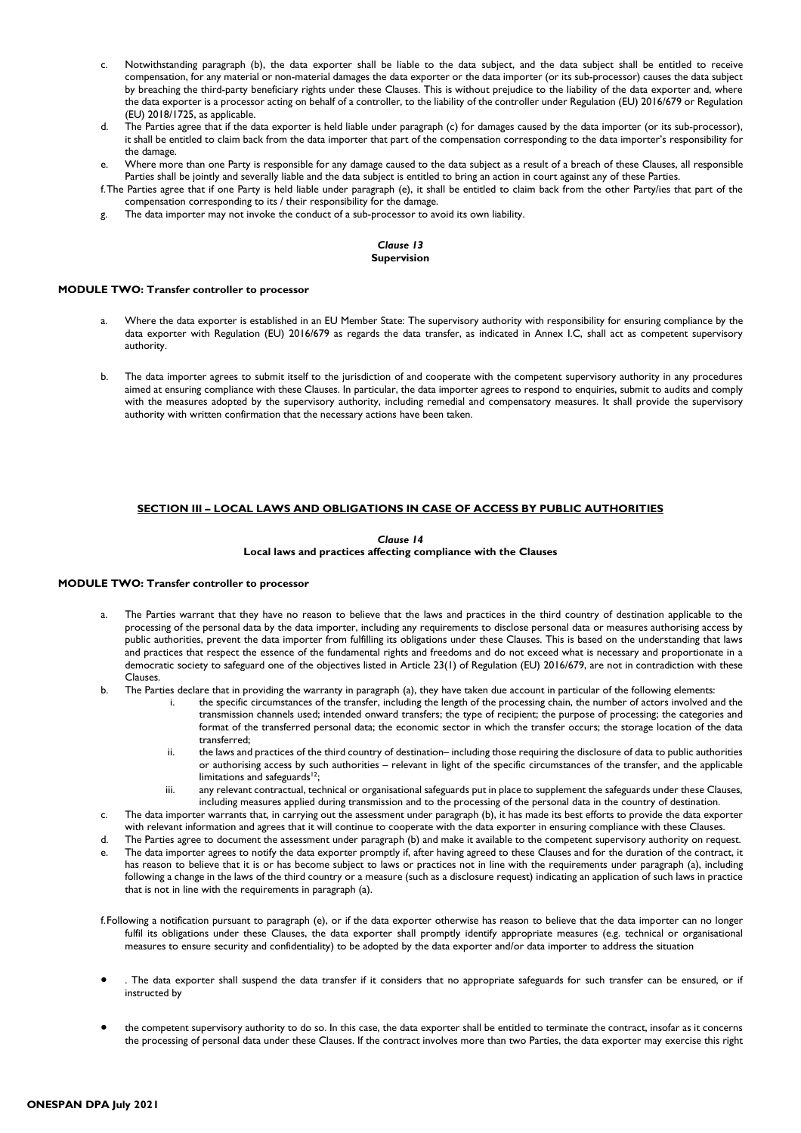- c. Notwithstanding paragraph (b), the data exporter shall be liable to the data subject, and the data subject shall be entitled to receive compensation, for any material or non-material damages the data exporter or the data importer (or its sub-processor) causes the data subject by breaching the third-party beneficiary rights under these Clauses. This is without prejudice to the liability of the data exporter and, where the data exporter is a processor acting on behalf of a controller, to the liability of the controller under Regulation (EU) 2016/679 or Regulation (EU) 2018/1725, as applicable.
- d. The Parties agree that if the data exporter is held liable under paragraph (c) for damages caused by the data importer (or its sub-processor), it shall be entitled to claim back from the data importer that part of the compensation corresponding to the data importer's responsibility for the damage.
- e. Where more than one Party is responsible for any damage caused to the data subject as a result of a breach of these Clauses, all responsible Parties shall be jointly and severally liable and the data subject is entitled to bring an action in court against any of these Parties.
- f.The Parties agree that if one Party is held liable under paragraph (e), it shall be entitled to claim back from the other Party/ies that part of the compensation corresponding to its / their responsibility for the damage.
- The data importer may not invoke the conduct of a sub-processor to avoid its own liability.

#### *Clause 13* **Supervision**

#### **MODULE TWO: Transfer controller to processor**

- Where the data exporter is established in an EU Member State: The supervisory authority with responsibility for ensuring compliance by the data exporter with Regulation (EU) 2016/679 as regards the data transfer, as indicated in Annex I.C, shall act as competent supervisory authority.
- b. The data importer agrees to submit itself to the jurisdiction of and cooperate with the competent supervisory authority in any procedures aimed at ensuring compliance with these Clauses. In particular, the data importer agrees to respond to enquiries, submit to audits and comply with the measures adopted by the supervisory authority, including remedial and compensatory measures. It shall provide the supervisory authority with written confirmation that the necessary actions have been taken.

# **SECTION III – LOCAL LAWS AND OBLIGATIONS IN CASE OF ACCESS BY PUBLIC AUTHORITIES**

# *Clause 14* **Local laws and practices affecting compliance with the Clauses**

#### **MODULE TWO: Transfer controller to processor**

- The Parties warrant that they have no reason to believe that the laws and practices in the third country of destination applicable to the processing of the personal data by the data importer, including any requirements to disclose personal data or measures authorising access by public authorities, prevent the data importer from fulfilling its obligations under these Clauses. This is based on the understanding that laws and practices that respect the essence of the fundamental rights and freedoms and do not exceed what is necessary and proportionate in a democratic society to safeguard one of the objectives listed in Article 23(1) of Regulation (EU) 2016/679, are not in contradiction with these Clauses.
- b. The Parties declare that in providing the warranty in paragraph (a), they have taken due account in particular of the following elements:
	- i. the specific circumstances of the transfer, including the length of the processing chain, the number of actors involved and the transmission channels used; intended onward transfers; the type of recipient; the purpose of processing; the categories and format of the transferred personal data; the economic sector in which the transfer occurs; the storage location of the data transferred;
	- ii. the laws and practices of the third country of destination– including those requiring the disclosure of data to public authorities or authorising access by such authorities – relevant in light of the specific circumstances of the transfer, and the applicable limitations and safeguards $12$ :
	- iii. any relevant contractual, technical or organisational safeguards put in place to supplement the safeguards under these Clauses, including measures applied during transmission and to the processing of the personal data in the country of destination.
- c. The data importer warrants that, in carrying out the assessment under paragraph (b), it has made its best efforts to provide the data exporter with relevant information and agrees that it will continue to cooperate with the data exporter in ensuring compliance with these Clauses.
- d. The Parties agree to document the assessment under paragraph (b) and make it available to the competent supervisory authority on request. e. The data importer agrees to notify the data exporter promptly if, after having agreed to these Clauses and for the duration of the contract, it
- has reason to believe that it is or has become subject to laws or practices not in line with the requirements under paragraph (a), including following a change in the laws of the third country or a measure (such as a disclosure request) indicating an application of such laws in practice that is not in line with the requirements in paragraph (a).
- f.Following a notification pursuant to paragraph (e), or if the data exporter otherwise has reason to believe that the data importer can no longer fulfil its obligations under these Clauses, the data exporter shall promptly identify appropriate measures (e.g. technical or organisational measures to ensure security and confidentiality) to be adopted by the data exporter and/or data importer to address the situation
- . The data exporter shall suspend the data transfer if it considers that no appropriate safeguards for such transfer can be ensured, or if instructed by
- the competent supervisory authority to do so. In this case, the data exporter shall be entitled to terminate the contract, insofar as it concerns the processing of personal data under these Clauses. If the contract involves more than two Parties, the data exporter may exercise this right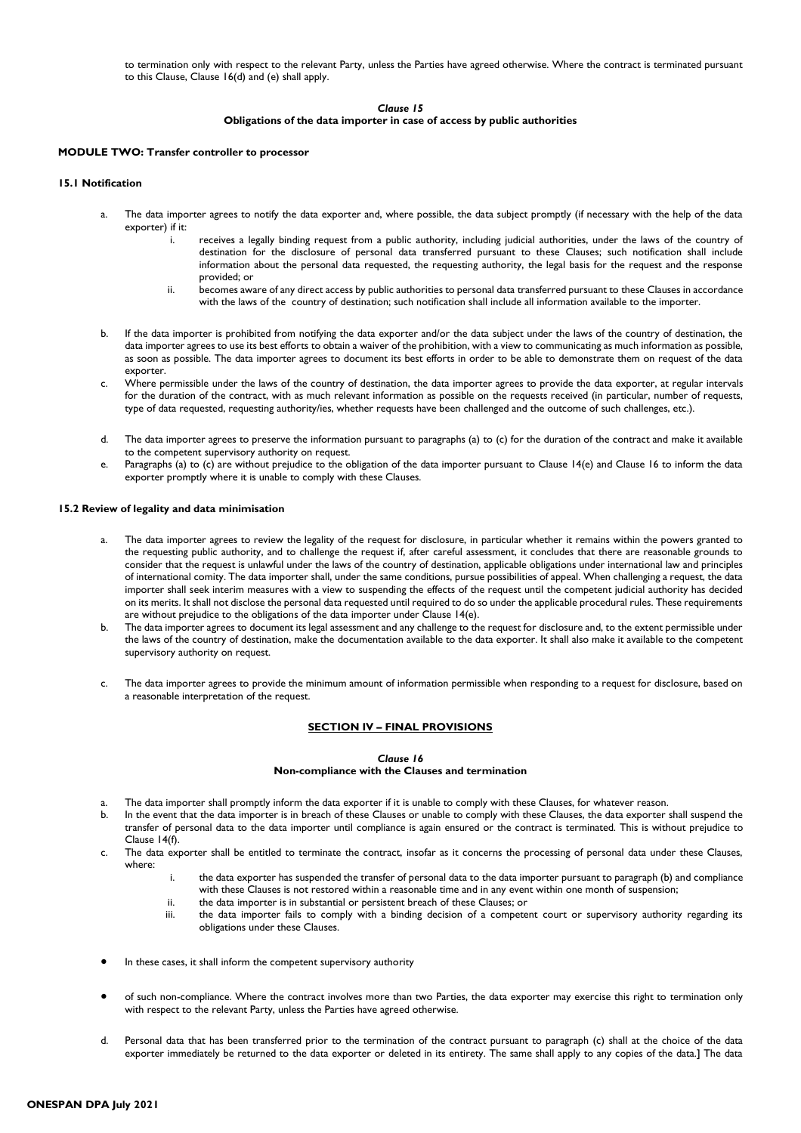to termination only with respect to the relevant Party, unless the Parties have agreed otherwise. Where the contract is terminated pursuant to this Clause, Clause 16(d) and (e) shall apply.

## *Clause 15*

# **Obligations of the data importer in case of access by public authorities**

#### **MODULE TWO: Transfer controller to processor**

# **15.1 Notification**

- a. The data importer agrees to notify the data exporter and, where possible, the data subject promptly (if necessary with the help of the data exporter) if it:
	- i. receives a legally binding request from a public authority, including judicial authorities, under the laws of the country of destination for the disclosure of personal data transferred pursuant to these Clauses; such notification shall include information about the personal data requested, the requesting authority, the legal basis for the request and the response provided; or
	- ii. becomes aware of any direct access by public authorities to personal data transferred pursuant to these Clauses in accordance with the laws of the country of destination; such notification shall include all information available to the importer.
- b. If the data importer is prohibited from notifying the data exporter and/or the data subject under the laws of the country of destination, the data importer agrees to use its best efforts to obtain a waiver of the prohibition, with a view to communicating as much information as possible, as soon as possible. The data importer agrees to document its best efforts in order to be able to demonstrate them on request of the data exporter.
- c. Where permissible under the laws of the country of destination, the data importer agrees to provide the data exporter, at regular intervals for the duration of the contract, with as much relevant information as possible on the requests received (in particular, number of requests, type of data requested, requesting authority/ies, whether requests have been challenged and the outcome of such challenges, etc.).
- d. The data importer agrees to preserve the information pursuant to paragraphs (a) to (c) for the duration of the contract and make it available to the competent supervisory authority on request.
- e. Paragraphs (a) to (c) are without prejudice to the obligation of the data importer pursuant to Clause 14(e) and Clause 16 to inform the data exporter promptly where it is unable to comply with these Clauses.

### **15.2 Review of legality and data minimisation**

- The data importer agrees to review the legality of the request for disclosure, in particular whether it remains within the powers granted to the requesting public authority, and to challenge the request if, after careful assessment, it concludes that there are reasonable grounds to consider that the request is unlawful under the laws of the country of destination, applicable obligations under international law and principles of international comity. The data importer shall, under the same conditions, pursue possibilities of appeal. When challenging a request, the data importer shall seek interim measures with a view to suspending the effects of the request until the competent judicial authority has decided on its merits. It shall not disclose the personal data requested until required to do so under the applicable procedural rules. These requirements are without prejudice to the obligations of the data importer under Clause 14(e).
- b. The data importer agrees to document its legal assessment and any challenge to the request for disclosure and, to the extent permissible under the laws of the country of destination, make the documentation available to the data exporter. It shall also make it available to the competent supervisory authority on request.
- c. The data importer agrees to provide the minimum amount of information permissible when responding to a request for disclosure, based on a reasonable interpretation of the request.

# **SECTION IV – FINAL PROVISIONS**

#### *Clause 16*

# **Non-compliance with the Clauses and termination**

- a. The data importer shall promptly inform the data exporter if it is unable to comply with these Clauses, for whatever reason.
- b. In the event that the data importer is in breach of these Clauses or unable to comply with these Clauses, the data exporter shall suspend the transfer of personal data to the data importer until compliance is again ensured or the contract is terminated. This is without prejudice to Clause 14(f).
- c. The data exporter shall be entitled to terminate the contract, insofar as it concerns the processing of personal data under these Clauses, where:
	- i. the data exporter has suspended the transfer of personal data to the data importer pursuant to paragraph (b) and compliance with these Clauses is not restored within a reasonable time and in any event within one month of suspension;
	- ii. the data importer is in substantial or persistent breach of these Clauses; or<br>iii. the data importer fails to comply with a binding decision of a compete
	- the data importer fails to comply with a binding decision of a competent court or supervisory authority regarding its obligations under these Clauses.
- In these cases, it shall inform the competent supervisory authority
- of such non-compliance. Where the contract involves more than two Parties, the data exporter may exercise this right to termination only with respect to the relevant Party, unless the Parties have agreed otherwise.
- d. Personal data that has been transferred prior to the termination of the contract pursuant to paragraph (c) shall at the choice of the data exporter immediately be returned to the data exporter or deleted in its entirety. The same shall apply to any copies of the data.] The data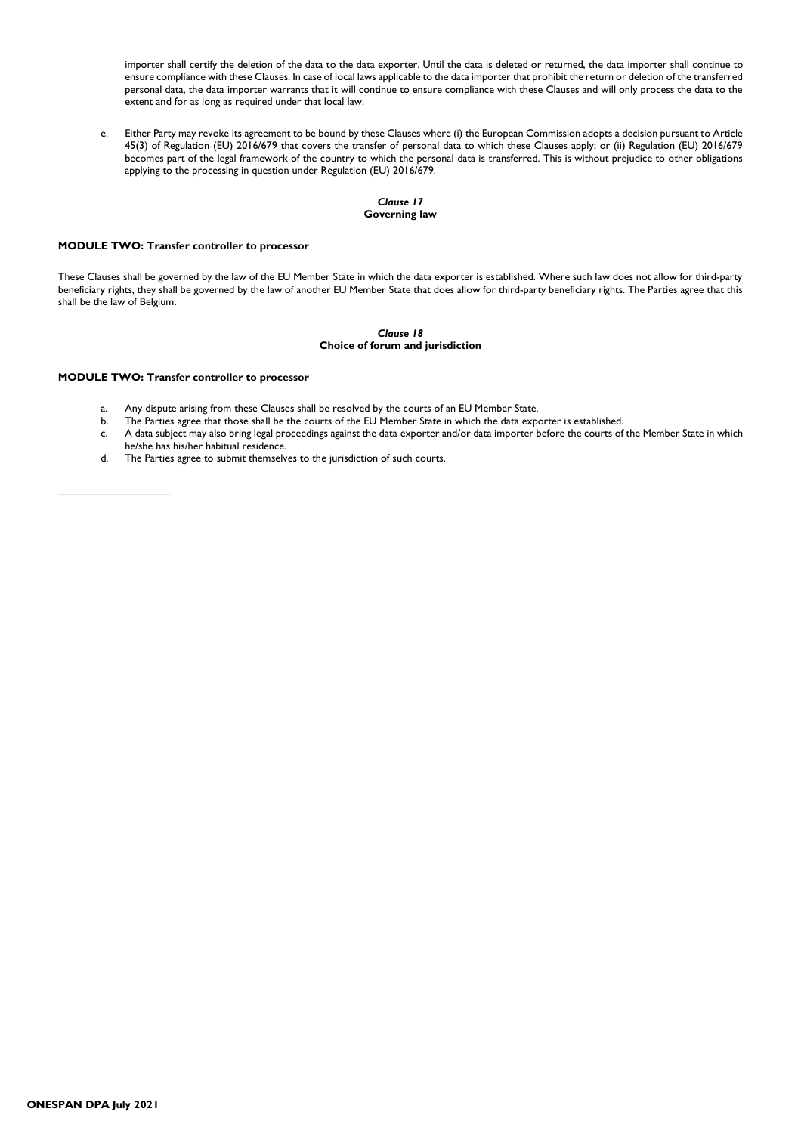importer shall certify the deletion of the data to the data exporter. Until the data is deleted or returned, the data importer shall continue to ensure compliance with these Clauses. In case of local laws applicable to the data importer that prohibit the return or deletion of the transferred personal data, the data importer warrants that it will continue to ensure compliance with these Clauses and will only process the data to the extent and for as long as required under that local law.

e. Either Party may revoke its agreement to be bound by these Clauses where (i) the European Commission adopts a decision pursuant to Article 45(3) of Regulation (EU) 2016/679 that covers the transfer of personal data to which these Clauses apply; or (ii) Regulation (EU) 2016/679 becomes part of the legal framework of the country to which the personal data is transferred. This is without prejudice to other obligations applying to the processing in question under Regulation (EU) 2016/679.

#### *Clause 17* **Governing law**

## **MODULE TWO: Transfer controller to processor**

These Clauses shall be governed by the law of the EU Member State in which the data exporter is established. Where such law does not allow for third-party beneficiary rights, they shall be governed by the law of another EU Member State that does allow for third-party beneficiary rights. The Parties agree that this shall be the law of Belgium.

# *Clause 18*

# **Choice of forum and jurisdiction**

## **MODULE TWO: Transfer controller to processor**

 $\overline{\phantom{a}}$  , where  $\overline{\phantom{a}}$ 

- a. Any dispute arising from these Clauses shall be resolved by the courts of an EU Member State.
- b. The Parties agree that those shall be the courts of the EU Member State in which the data exporter is established.
- c. A data subject may also bring legal proceedings against the data exporter and/or data importer before the courts of the Member State in which he/she has his/her habitual residence.
- d. The Parties agree to submit themselves to the jurisdiction of such courts.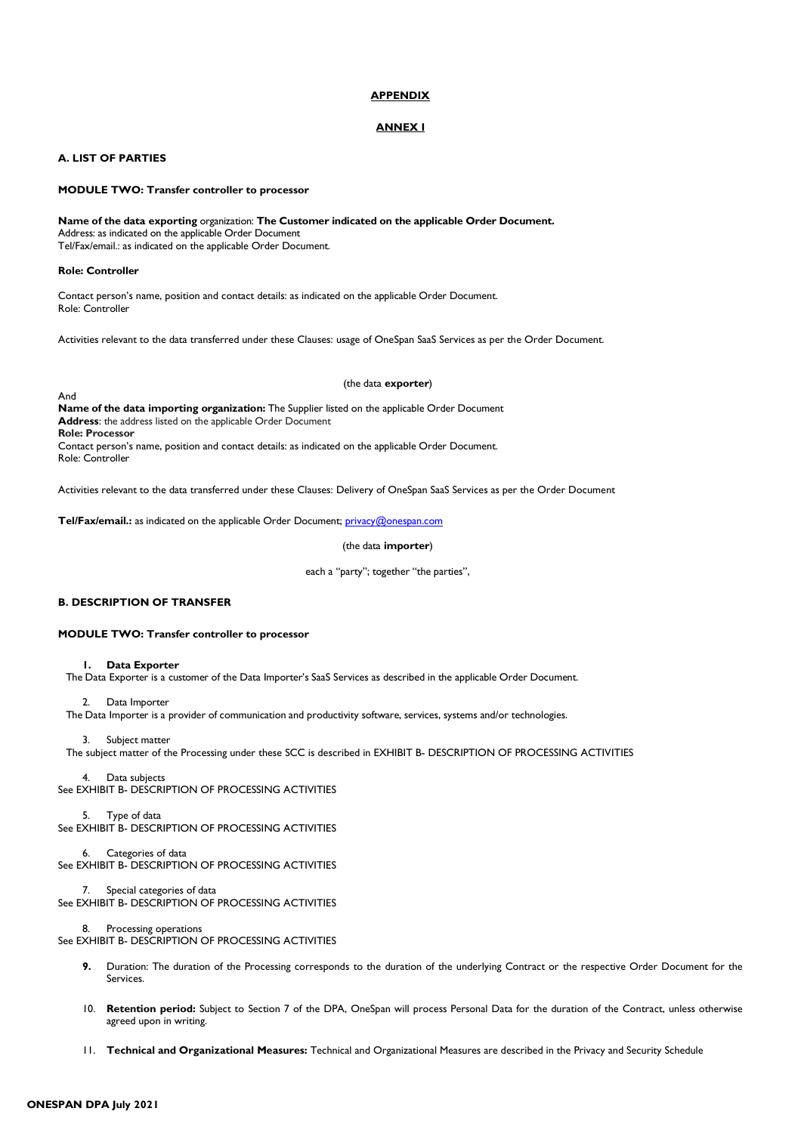# **APPENDIX**

# **ANNEX I**

# **A. LIST OF PARTIES**

### **MODULE TWO: Transfer controller to processor**

**Name of the data exporting** organization: **The Customer indicated on the applicable Order Document.** Address: as indicated on the applicable Order Document Tel/Fax/email.: as indicated on the applicable Order Document.

### **Role: Controller**

Contact person's name, position and contact details: as indicated on the applicable Order Document. Role: Controller

Activities relevant to the data transferred under these Clauses: usage of OneSpan SaaS Services as per the Order Document.

And

### (the data **exporter**)

**Name of the data importing organization:** The Supplier listed on the applicable Order Document **Address**: the address listed on the applicable Order Document **Role: Processor** Contact person's name, position and contact details: as indicated on the applicable Order Document.

Role: Controller

Activities relevant to the data transferred under these Clauses: Delivery of OneSpan SaaS Services as per the Order Document

Tel/Fax/email.: as indicated on the applicable Order Document[; privacy@onespan.com](mailto:privacy@onespan.com)

### (the data **importer**)

each a "party"; together "the parties",

# **B. DESCRIPTION OF TRANSFER**

#### **MODULE TWO: Transfer controller to processor**

#### **1. Data Exporter**

The Data Exporter is a customer of the Data Importer's SaaS Services as described in the applicable Order Document.

#### 2. Data Importer

The Data Importer is a provider of communication and productivity software, services, systems and/or technologies.

3. Subject matter

The subject matter of the Processing under these SCC is described in EXHIBIT B- DESCRIPTION OF PROCESSING ACTIVITIES

4. Data subjects

See EXHIBIT B- DESCRIPTION OF PROCESSING ACTIVITIES

5. Type of data

See EXHIBIT B- DESCRIPTION OF PROCESSING ACTIVITIES

6. Categories of data See EXHIBIT B- DESCRIPTION OF PROCESSING ACTIVITIES

# 7. Special categories of data

See EXHIBIT B- DESCRIPTION OF PROCESSING ACTIVITIES

#### 8. Processing operations

See EXHIBIT B- DESCRIPTION OF PROCESSING ACTIVITIES

- **9.** Duration: The duration of the Processing corresponds to the duration of the underlying Contract or the respective Order Document for the Services.
- 10. **Retention period:** Subject to Section 7 of the DPA, OneSpan will process Personal Data for the duration of the Contract, unless otherwise agreed upon in writing.
- 11. **Technical and Organizational Measures:** Technical and Organizational Measures are described in the Privacy and Security Schedule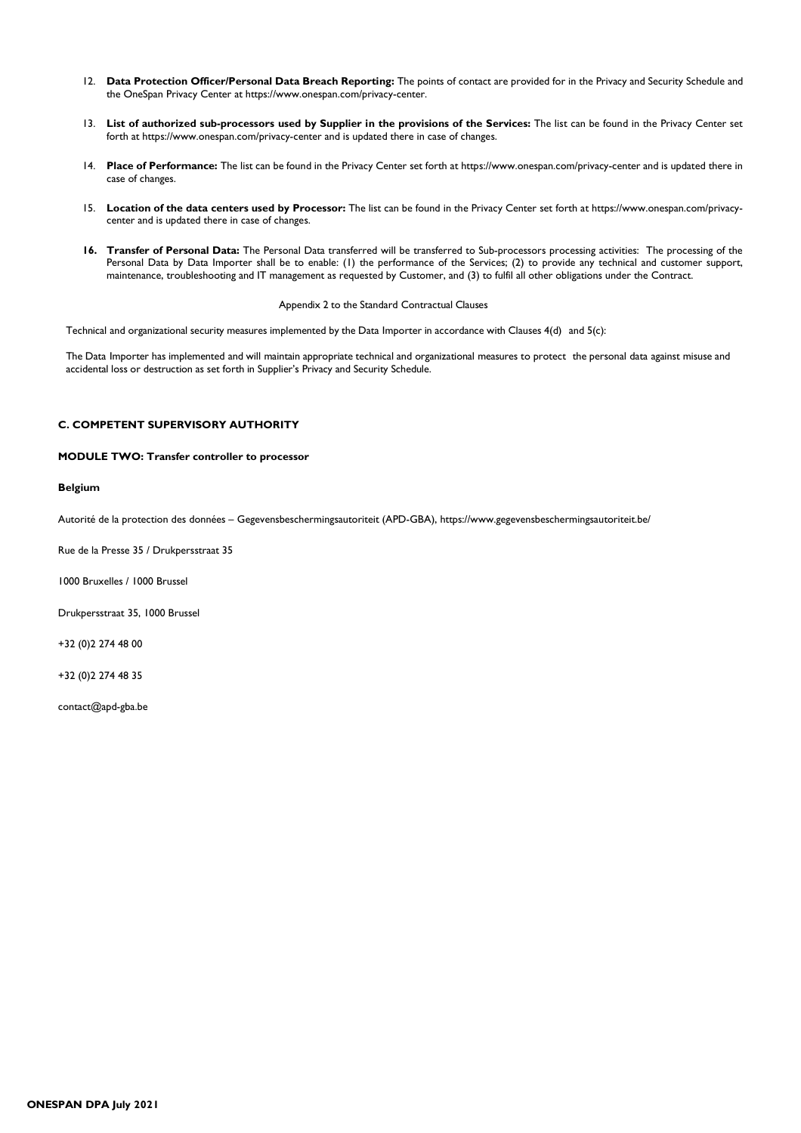- 12. **Data Protection Officer/Personal Data Breach Reporting:** The points of contact are provided for in the Privacy and Security Schedule and the OneSpan Privacy Center at https://www.onespan.com/privacy-center.
- 13. **List of authorized sub-processors used by Supplier in the provisions of the Services:** The list can be found in the Privacy Center set forth at https://www.onespan.com/privacy-center and is updated there in case of changes.
- 14. **Place of Performance:** The list can be found in the Privacy Center set forth at https://www.onespan.com/privacy-center and is updated there in case of changes.
- 15. **Location of the data centers used by Processor:** The list can be found in the Privacy Center set forth at https://www.onespan.com/privacycenter and is updated there in case of changes.
- **16. Transfer of Personal Data:** The Personal Data transferred will be transferred to Sub-processors processing activities: The processing of the Personal Data by Data Importer shall be to enable: (1) the performance of the Services; (2) to provide any technical and customer support, maintenance, troubleshooting and IT management as requested by Customer, and (3) to fulfil all other obligations under the Contract.

### Appendix 2 to the Standard Contractual Clauses

Technical and organizational security measures implemented by the Data Importer in accordance with Clauses 4(d) and 5(c):

The Data Importer has implemented and will maintain appropriate technical and organizational measures to protect the personal data against misuse and accidental loss or destruction as set forth in Supplier's Privacy and Security Schedule.

# **C. COMPETENT SUPERVISORY AUTHORITY**

## **MODULE TWO: Transfer controller to processor**

### **Belgium**

Autorité de la protection des données – Gegevensbeschermingsautoriteit (APD-GBA), https://www.gegevensbeschermingsautoriteit.be/

Rue de la Presse 35 / Drukpersstraat 35

1000 Bruxelles / 1000 Brussel

Drukpersstraat 35, 1000 Brussel

+32 (0)2 274 48 00

+32 (0)2 274 48 35

contact@apd-gba.be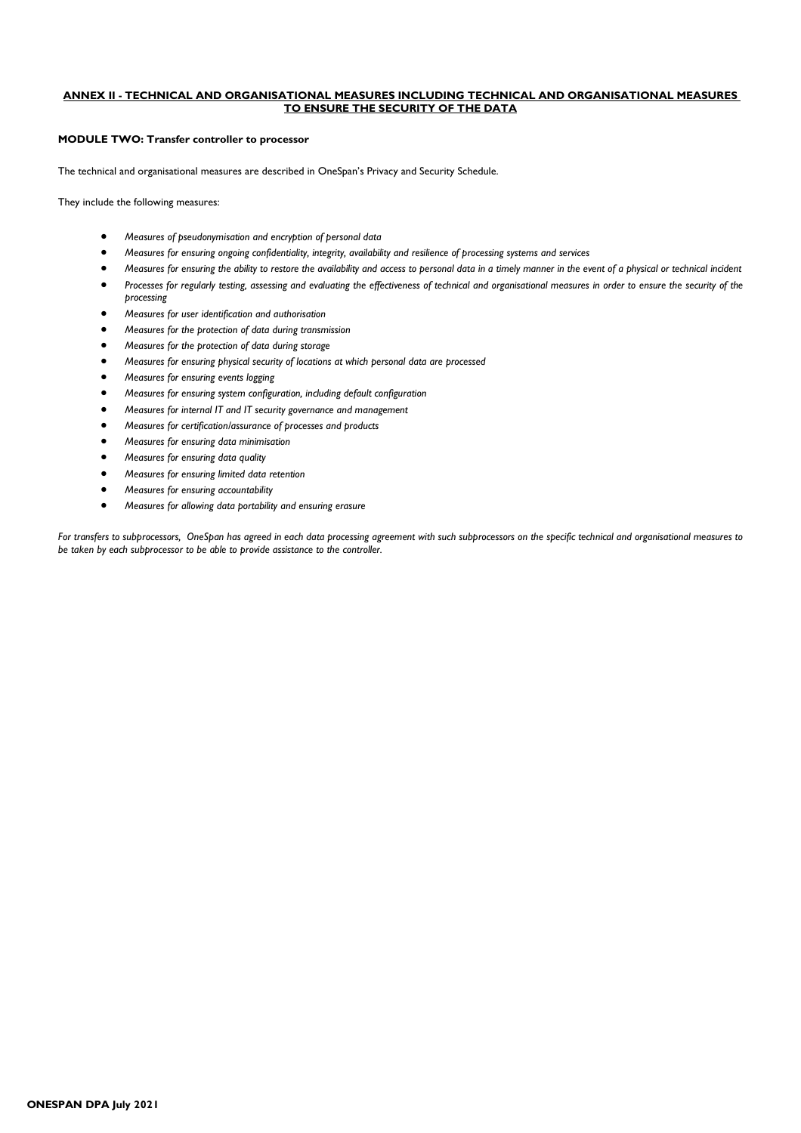# **ANNEX II - TECHNICAL AND ORGANISATIONAL MEASURES INCLUDING TECHNICAL AND ORGANISATIONAL MEASURES TO ENSURE THE SECURITY OF THE DATA**

# **MODULE TWO: Transfer controller to processor**

The technical and organisational measures are described in OneSpan's Privacy and Security Schedule.

They include the following measures:

- *Measures of pseudonymisation and encryption of personal data*
- *Measures for ensuring ongoing confidentiality, integrity, availability and resilience of processing systems and services*
- *Measures for ensuring the ability to restore the availability and access to personal data in a timely manner in the event of a physical or technical incident*
- *Processes for regularly testing, assessing and evaluating the effectiveness of technical and organisational measures in order to ensure the security of the processing*
- *Measures for user identification and authorisation*
- *Measures for the protection of data during transmission*
- *Measures for the protection of data during storage*
- *Measures for ensuring physical security of locations at which personal data are processed*
- *Measures for ensuring events logging*
- *Measures for ensuring system configuration, including default configuration*
- *Measures for internal IT and IT security governance and management*
- *Measures for certification/assurance of processes and products*
- *Measures for ensuring data minimisation*
- *Measures for ensuring data quality*
- *Measures for ensuring limited data retention*
- *Measures for ensuring accountability*
- *Measures for allowing data portability and ensuring erasure*

For transfers to subprocessors, OneSpan has agreed in each data processing agreement with such subprocessors on the specific technical and organisational measures to *be taken by each subprocessor to be able to provide assistance to the controller.*